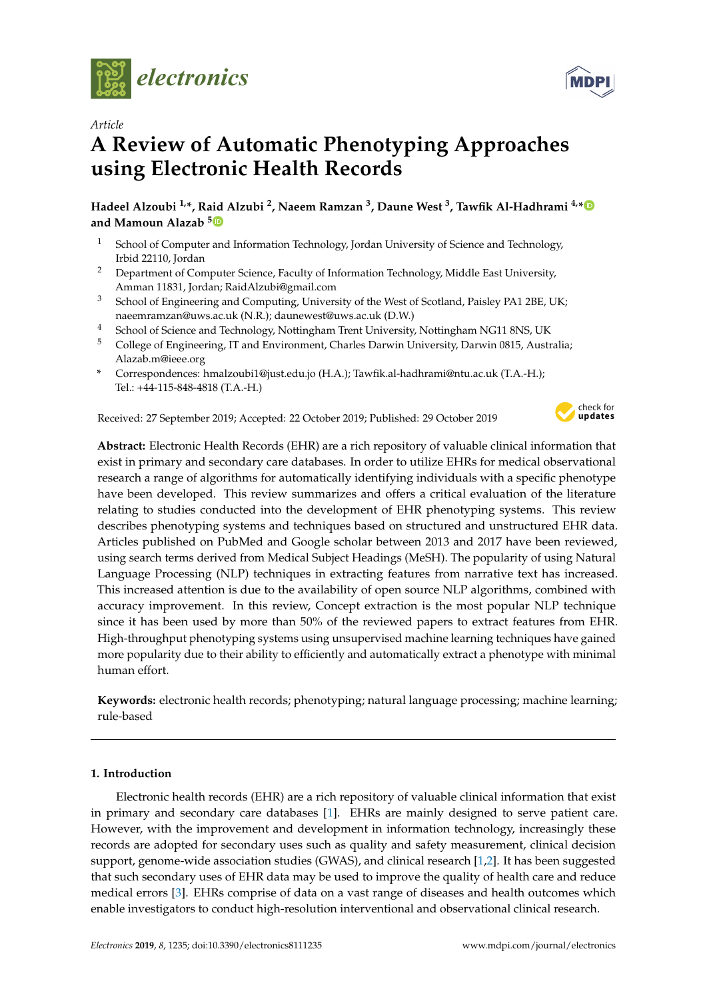



# **A Review of Automatic Phenotyping Approaches using Electronic Health Records**

**Hadeel Alzoubi 1,\*, Raid Alzubi <sup>2</sup> , Naeem Ramzan <sup>3</sup> , Daune West <sup>3</sup> , Tawfik Al-Hadhrami 4,[\\*](https://orcid.org/0000-0001-7441-604X) and Mamoun Alazab [5](https://orcid.org/0000-0002-1928-3704)**

- <sup>1</sup> School of Computer and Information Technology, Jordan University of Science and Technology, Irbid 22110, Jordan
- <sup>2</sup> Department of Computer Science, Faculty of Information Technology, Middle East University, Amman 11831, Jordan; RaidAlzubi@gmail.com
- <sup>3</sup> School of Engineering and Computing, University of the West of Scotland, Paisley PA1 2BE, UK; naeemramzan@uws.ac.uk (N.R.); daunewest@uws.ac.uk (D.W.)
- <sup>4</sup> School of Science and Technology, Nottingham Trent University, Nottingham NG11 8NS, UK
- <sup>5</sup> College of Engineering, IT and Environment, Charles Darwin University, Darwin 0815, Australia; Alazab.m@ieee.org
- **\*** Correspondences: hmalzoubi1@just.edu.jo (H.A.); Tawfik.al-hadhrami@ntu.ac.uk (T.A.-H.); Tel.: +44-115-848-4818 (T.A.-H.)

Received: 27 September 2019; Accepted: 22 October 2019; Published: 29 October 2019



MDF

**Abstract:** Electronic Health Records (EHR) are a rich repository of valuable clinical information that exist in primary and secondary care databases. In order to utilize EHRs for medical observational research a range of algorithms for automatically identifying individuals with a specific phenotype have been developed. This review summarizes and offers a critical evaluation of the literature relating to studies conducted into the development of EHR phenotyping systems. This review describes phenotyping systems and techniques based on structured and unstructured EHR data. Articles published on PubMed and Google scholar between 2013 and 2017 have been reviewed, using search terms derived from Medical Subject Headings (MeSH). The popularity of using Natural Language Processing (NLP) techniques in extracting features from narrative text has increased. This increased attention is due to the availability of open source NLP algorithms, combined with accuracy improvement. In this review, Concept extraction is the most popular NLP technique since it has been used by more than 50% of the reviewed papers to extract features from EHR. High-throughput phenotyping systems using unsupervised machine learning techniques have gained more popularity due to their ability to efficiently and automatically extract a phenotype with minimal human effort.

**Keywords:** electronic health records; phenotyping; natural language processing; machine learning; rule-based

# **1. Introduction**

Electronic health records (EHR) are a rich repository of valuable clinical information that exist in primary and secondary care databases [\[1\]](#page-15-0). EHRs are mainly designed to serve patient care. However, with the improvement and development in information technology, increasingly these records are adopted for secondary uses such as quality and safety measurement, clinical decision support, genome-wide association studies (GWAS), and clinical research [\[1,](#page-15-0)[2\]](#page-15-1). It has been suggested that such secondary uses of EHR data may be used to improve the quality of health care and reduce medical errors [\[3\]](#page-15-2). EHRs comprise of data on a vast range of diseases and health outcomes which enable investigators to conduct high-resolution interventional and observational clinical research.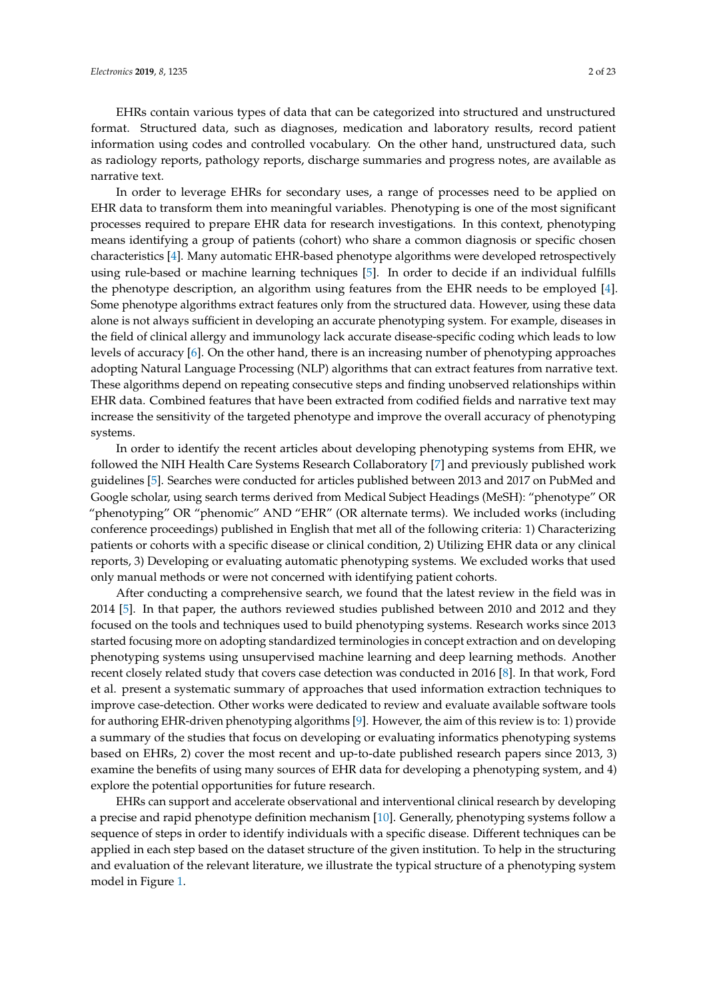EHRs contain various types of data that can be categorized into structured and unstructured format. Structured data, such as diagnoses, medication and laboratory results, record patient information using codes and controlled vocabulary. On the other hand, unstructured data, such as radiology reports, pathology reports, discharge summaries and progress notes, are available as narrative text.

In order to leverage EHRs for secondary uses, a range of processes need to be applied on EHR data to transform them into meaningful variables. Phenotyping is one of the most significant processes required to prepare EHR data for research investigations. In this context, phenotyping means identifying a group of patients (cohort) who share a common diagnosis or specific chosen characteristics [\[4\]](#page-15-3). Many automatic EHR-based phenotype algorithms were developed retrospectively using rule-based or machine learning techniques [\[5\]](#page-16-0). In order to decide if an individual fulfills the phenotype description, an algorithm using features from the EHR needs to be employed [\[4\]](#page-15-3). Some phenotype algorithms extract features only from the structured data. However, using these data alone is not always sufficient in developing an accurate phenotyping system. For example, diseases in the field of clinical allergy and immunology lack accurate disease-specific coding which leads to low levels of accuracy [\[6\]](#page-16-1). On the other hand, there is an increasing number of phenotyping approaches adopting Natural Language Processing (NLP) algorithms that can extract features from narrative text. These algorithms depend on repeating consecutive steps and finding unobserved relationships within EHR data. Combined features that have been extracted from codified fields and narrative text may increase the sensitivity of the targeted phenotype and improve the overall accuracy of phenotyping systems.

In order to identify the recent articles about developing phenotyping systems from EHR, we followed the NIH Health Care Systems Research Collaboratory [\[7\]](#page-16-2) and previously published work guidelines [\[5\]](#page-16-0). Searches were conducted for articles published between 2013 and 2017 on PubMed and Google scholar, using search terms derived from Medical Subject Headings (MeSH): "phenotype" OR "phenotyping" OR "phenomic" AND "EHR" (OR alternate terms). We included works (including conference proceedings) published in English that met all of the following criteria: 1) Characterizing patients or cohorts with a specific disease or clinical condition, 2) Utilizing EHR data or any clinical reports, 3) Developing or evaluating automatic phenotyping systems. We excluded works that used only manual methods or were not concerned with identifying patient cohorts.

After conducting a comprehensive search, we found that the latest review in the field was in 2014 [\[5\]](#page-16-0). In that paper, the authors reviewed studies published between 2010 and 2012 and they focused on the tools and techniques used to build phenotyping systems. Research works since 2013 started focusing more on adopting standardized terminologies in concept extraction and on developing phenotyping systems using unsupervised machine learning and deep learning methods. Another recent closely related study that covers case detection was conducted in 2016 [\[8\]](#page-16-3). In that work, Ford et al. present a systematic summary of approaches that used information extraction techniques to improve case-detection. Other works were dedicated to review and evaluate available software tools for authoring EHR-driven phenotyping algorithms [\[9\]](#page-16-4). However, the aim of this review is to: 1) provide a summary of the studies that focus on developing or evaluating informatics phenotyping systems based on EHRs, 2) cover the most recent and up-to-date published research papers since 2013, 3) examine the benefits of using many sources of EHR data for developing a phenotyping system, and 4) explore the potential opportunities for future research.

EHRs can support and accelerate observational and interventional clinical research by developing a precise and rapid phenotype definition mechanism [\[10\]](#page-16-5). Generally, phenotyping systems follow a sequence of steps in order to identify individuals with a specific disease. Different techniques can be applied in each step based on the dataset structure of the given institution. To help in the structuring and evaluation of the relevant literature, we illustrate the typical structure of a phenotyping system model in Figure [1.](#page-2-0)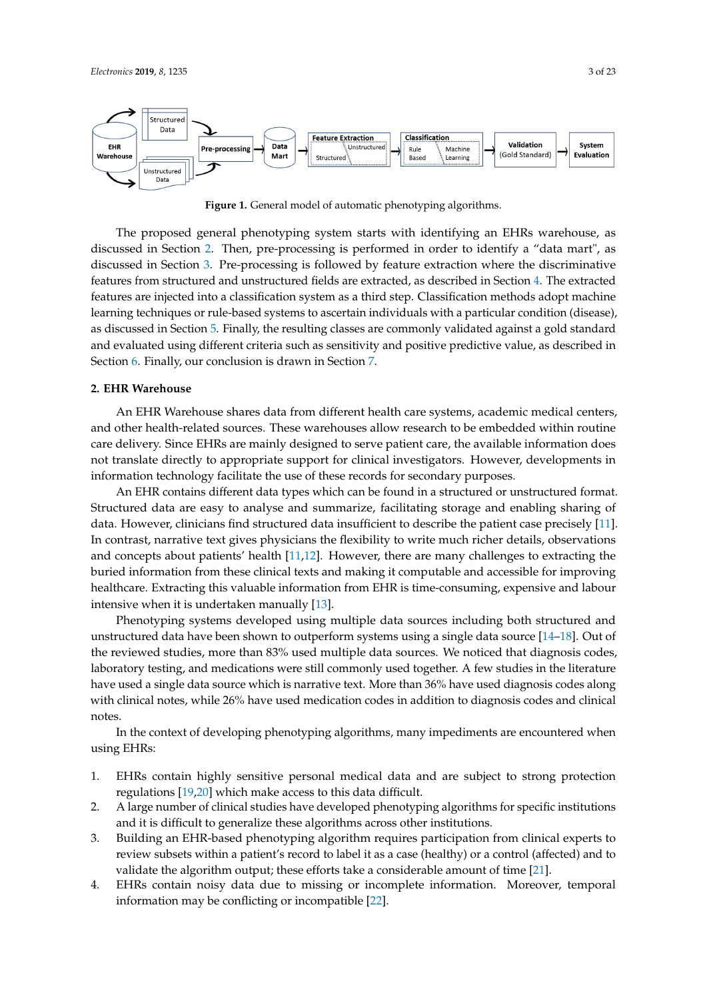<span id="page-2-0"></span>

**Figure 1.** General model of automatic phenotyping algorithms.

The proposed general phenotyping system starts with identifying an EHRs warehouse, as discussed in Section [2.](#page-2-1) Then, pre-processing is performed in order to identify a "data mart", as discussed in Section [3.](#page-3-0) Pre-processing is followed by feature extraction where the discriminative features from structured and unstructured fields are extracted, as described in Section [4.](#page-3-1) The extracted features are injected into a classification system as a third step. Classification methods adopt machine learning techniques or rule-based systems to ascertain individuals with a particular condition (disease), as discussed in Section [5.](#page-8-0) Finally, the resulting classes are commonly validated against a gold standard and evaluated using different criteria such as sensitivity and positive predictive value, as described in Section [6.](#page-14-0) Finally, our conclusion is drawn in Section [7.](#page-15-4)

## <span id="page-2-1"></span>**2. EHR Warehouse**

An EHR Warehouse shares data from different health care systems, academic medical centers, and other health-related sources. These warehouses allow research to be embedded within routine care delivery. Since EHRs are mainly designed to serve patient care, the available information does not translate directly to appropriate support for clinical investigators. However, developments in information technology facilitate the use of these records for secondary purposes.

An EHR contains different data types which can be found in a structured or unstructured format. Structured data are easy to analyse and summarize, facilitating storage and enabling sharing of data. However, clinicians find structured data insufficient to describe the patient case precisely [\[11\]](#page-16-6). In contrast, narrative text gives physicians the flexibility to write much richer details, observations and concepts about patients' health [\[11,](#page-16-6)[12\]](#page-16-7). However, there are many challenges to extracting the buried information from these clinical texts and making it computable and accessible for improving healthcare. Extracting this valuable information from EHR is time-consuming, expensive and labour intensive when it is undertaken manually [\[13\]](#page-16-8).

Phenotyping systems developed using multiple data sources including both structured and unstructured data have been shown to outperform systems using a single data source [\[14–](#page-16-9)[18\]](#page-16-10). Out of the reviewed studies, more than 83% used multiple data sources. We noticed that diagnosis codes, laboratory testing, and medications were still commonly used together. A few studies in the literature have used a single data source which is narrative text. More than 36% have used diagnosis codes along with clinical notes, while 26% have used medication codes in addition to diagnosis codes and clinical notes.

In the context of developing phenotyping algorithms, many impediments are encountered when using EHRs:

- 1. EHRs contain highly sensitive personal medical data and are subject to strong protection regulations [\[19,](#page-16-11)[20\]](#page-16-12) which make access to this data difficult.
- 2. A large number of clinical studies have developed phenotyping algorithms for specific institutions and it is difficult to generalize these algorithms across other institutions.
- 3. Building an EHR-based phenotyping algorithm requires participation from clinical experts to review subsets within a patient's record to label it as a case (healthy) or a control (affected) and to validate the algorithm output; these efforts take a considerable amount of time [\[21\]](#page-16-13).
- 4. EHRs contain noisy data due to missing or incomplete information. Moreover, temporal information may be conflicting or incompatible [\[22\]](#page-16-14).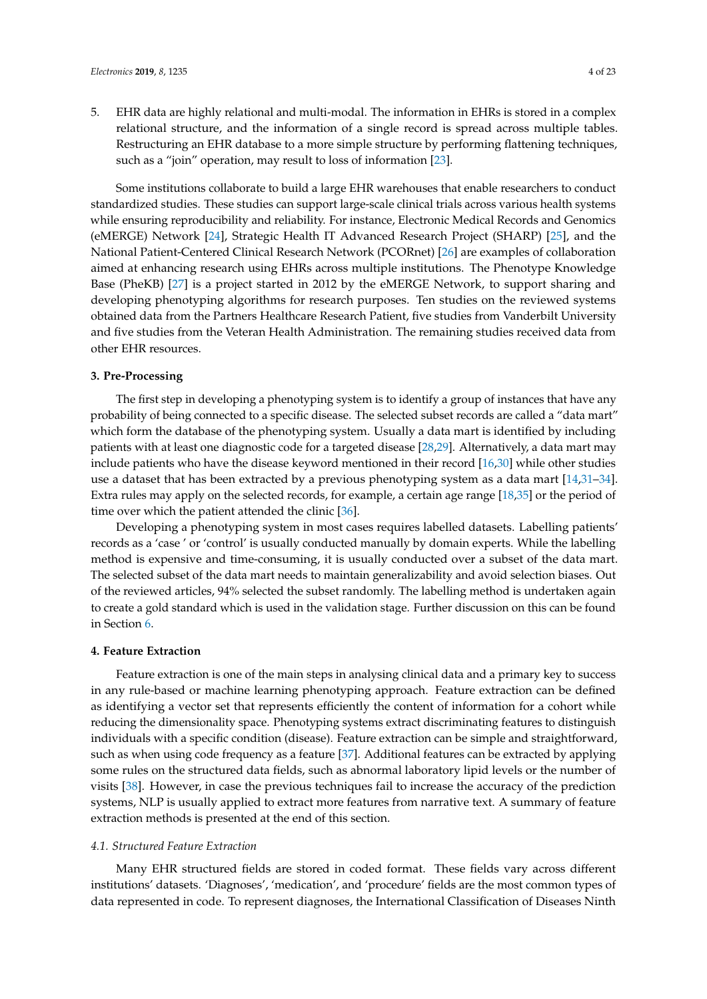5. EHR data are highly relational and multi-modal. The information in EHRs is stored in a complex relational structure, and the information of a single record is spread across multiple tables. Restructuring an EHR database to a more simple structure by performing flattening techniques, such as a "join" operation, may result to loss of information [\[23\]](#page-17-0).

Some institutions collaborate to build a large EHR warehouses that enable researchers to conduct standardized studies. These studies can support large-scale clinical trials across various health systems while ensuring reproducibility and reliability. For instance, Electronic Medical Records and Genomics (eMERGE) Network [\[24\]](#page-17-1), Strategic Health IT Advanced Research Project (SHARP) [\[25\]](#page-17-2), and the National Patient-Centered Clinical Research Network (PCORnet) [\[26\]](#page-17-3) are examples of collaboration aimed at enhancing research using EHRs across multiple institutions. The Phenotype Knowledge Base (PheKB) [\[27\]](#page-17-4) is a project started in 2012 by the eMERGE Network, to support sharing and developing phenotyping algorithms for research purposes. Ten studies on the reviewed systems obtained data from the Partners Healthcare Research Patient, five studies from Vanderbilt University and five studies from the Veteran Health Administration. The remaining studies received data from other EHR resources.

## <span id="page-3-0"></span>**3. Pre-Processing**

The first step in developing a phenotyping system is to identify a group of instances that have any probability of being connected to a specific disease. The selected subset records are called a "data mart" which form the database of the phenotyping system. Usually a data mart is identified by including patients with at least one diagnostic code for a targeted disease [\[28](#page-17-5)[,29\]](#page-17-6). Alternatively, a data mart may include patients who have the disease keyword mentioned in their record [\[16,](#page-16-15)[30\]](#page-17-7) while other studies use a dataset that has been extracted by a previous phenotyping system as a data mart [\[14,](#page-16-9)[31–](#page-17-8)[34\]](#page-17-9). Extra rules may apply on the selected records, for example, a certain age range [\[18](#page-16-10)[,35\]](#page-17-10) or the period of time over which the patient attended the clinic [\[36\]](#page-17-11).

Developing a phenotyping system in most cases requires labelled datasets. Labelling patients' records as a 'case ' or 'control' is usually conducted manually by domain experts. While the labelling method is expensive and time-consuming, it is usually conducted over a subset of the data mart. The selected subset of the data mart needs to maintain generalizability and avoid selection biases. Out of the reviewed articles, 94% selected the subset randomly. The labelling method is undertaken again to create a gold standard which is used in the validation stage. Further discussion on this can be found in Section [6.](#page-14-0)

## <span id="page-3-1"></span>**4. Feature Extraction**

Feature extraction is one of the main steps in analysing clinical data and a primary key to success in any rule-based or machine learning phenotyping approach. Feature extraction can be defined as identifying a vector set that represents efficiently the content of information for a cohort while reducing the dimensionality space. Phenotyping systems extract discriminating features to distinguish individuals with a specific condition (disease). Feature extraction can be simple and straightforward, such as when using code frequency as a feature [\[37\]](#page-17-12). Additional features can be extracted by applying some rules on the structured data fields, such as abnormal laboratory lipid levels or the number of visits [\[38\]](#page-17-13). However, in case the previous techniques fail to increase the accuracy of the prediction systems, NLP is usually applied to extract more features from narrative text. A summary of feature extraction methods is presented at the end of this section.

## *4.1. Structured Feature Extraction*

Many EHR structured fields are stored in coded format. These fields vary across different institutions' datasets. 'Diagnoses', 'medication', and 'procedure' fields are the most common types of data represented in code. To represent diagnoses, the International Classification of Diseases Ninth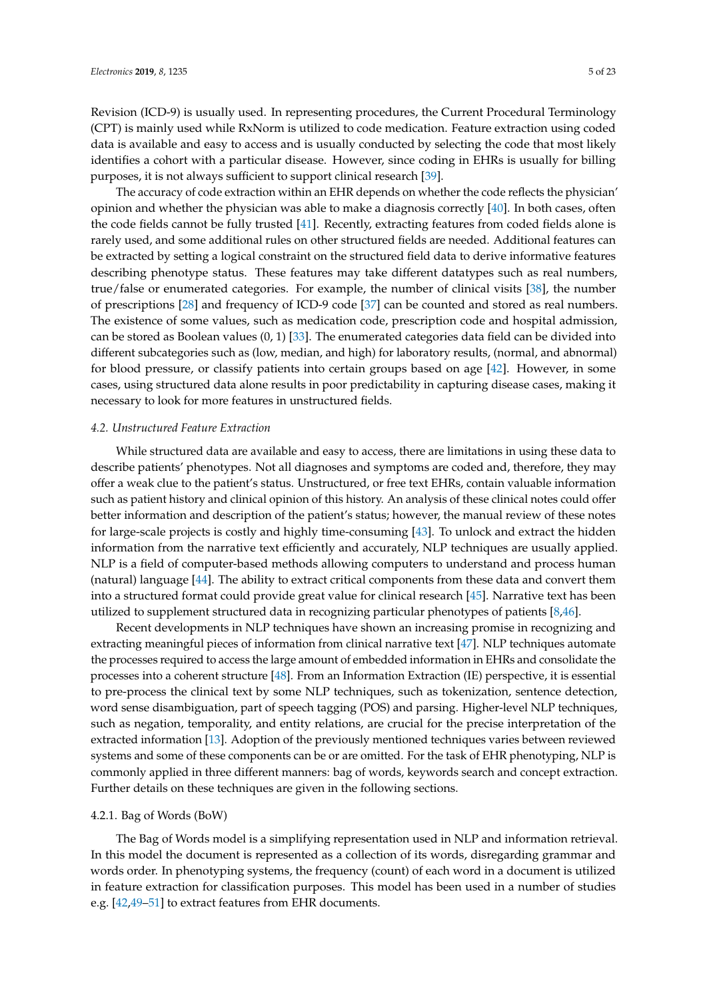Revision (ICD-9) is usually used. In representing procedures, the Current Procedural Terminology (CPT) is mainly used while RxNorm is utilized to code medication. Feature extraction using coded data is available and easy to access and is usually conducted by selecting the code that most likely identifies a cohort with a particular disease. However, since coding in EHRs is usually for billing purposes, it is not always sufficient to support clinical research [\[39\]](#page-17-14).

The accuracy of code extraction within an EHR depends on whether the code reflects the physician' opinion and whether the physician was able to make a diagnosis correctly [\[40\]](#page-18-0). In both cases, often the code fields cannot be fully trusted [\[41\]](#page-18-1). Recently, extracting features from coded fields alone is rarely used, and some additional rules on other structured fields are needed. Additional features can be extracted by setting a logical constraint on the structured field data to derive informative features describing phenotype status. These features may take different datatypes such as real numbers, true/false or enumerated categories. For example, the number of clinical visits [\[38\]](#page-17-13), the number of prescriptions [\[28\]](#page-17-5) and frequency of ICD-9 code [\[37\]](#page-17-12) can be counted and stored as real numbers. The existence of some values, such as medication code, prescription code and hospital admission, can be stored as Boolean values (0, 1) [\[33\]](#page-17-15). The enumerated categories data field can be divided into different subcategories such as (low, median, and high) for laboratory results, (normal, and abnormal) for blood pressure, or classify patients into certain groups based on age [\[42\]](#page-18-2). However, in some cases, using structured data alone results in poor predictability in capturing disease cases, making it necessary to look for more features in unstructured fields.

## *4.2. Unstructured Feature Extraction*

While structured data are available and easy to access, there are limitations in using these data to describe patients' phenotypes. Not all diagnoses and symptoms are coded and, therefore, they may offer a weak clue to the patient's status. Unstructured, or free text EHRs, contain valuable information such as patient history and clinical opinion of this history. An analysis of these clinical notes could offer better information and description of the patient's status; however, the manual review of these notes for large-scale projects is costly and highly time-consuming [\[43\]](#page-18-3). To unlock and extract the hidden information from the narrative text efficiently and accurately, NLP techniques are usually applied. NLP is a field of computer-based methods allowing computers to understand and process human (natural) language [\[44\]](#page-18-4). The ability to extract critical components from these data and convert them into a structured format could provide great value for clinical research [\[45\]](#page-18-5). Narrative text has been utilized to supplement structured data in recognizing particular phenotypes of patients [\[8](#page-16-3)[,46\]](#page-18-6).

Recent developments in NLP techniques have shown an increasing promise in recognizing and extracting meaningful pieces of information from clinical narrative text [\[47\]](#page-18-7). NLP techniques automate the processes required to access the large amount of embedded information in EHRs and consolidate the processes into a coherent structure [\[48\]](#page-18-8). From an Information Extraction (IE) perspective, it is essential to pre-process the clinical text by some NLP techniques, such as tokenization, sentence detection, word sense disambiguation, part of speech tagging (POS) and parsing. Higher-level NLP techniques, such as negation, temporality, and entity relations, are crucial for the precise interpretation of the extracted information [\[13\]](#page-16-8). Adoption of the previously mentioned techniques varies between reviewed systems and some of these components can be or are omitted. For the task of EHR phenotyping, NLP is commonly applied in three different manners: bag of words, keywords search and concept extraction. Further details on these techniques are given in the following sections.

## 4.2.1. Bag of Words (BoW)

The Bag of Words model is a simplifying representation used in NLP and information retrieval. In this model the document is represented as a collection of its words, disregarding grammar and words order. In phenotyping systems, the frequency (count) of each word in a document is utilized in feature extraction for classification purposes. This model has been used in a number of studies e.g. [\[42,](#page-18-2)[49](#page-18-9)[–51\]](#page-18-10) to extract features from EHR documents.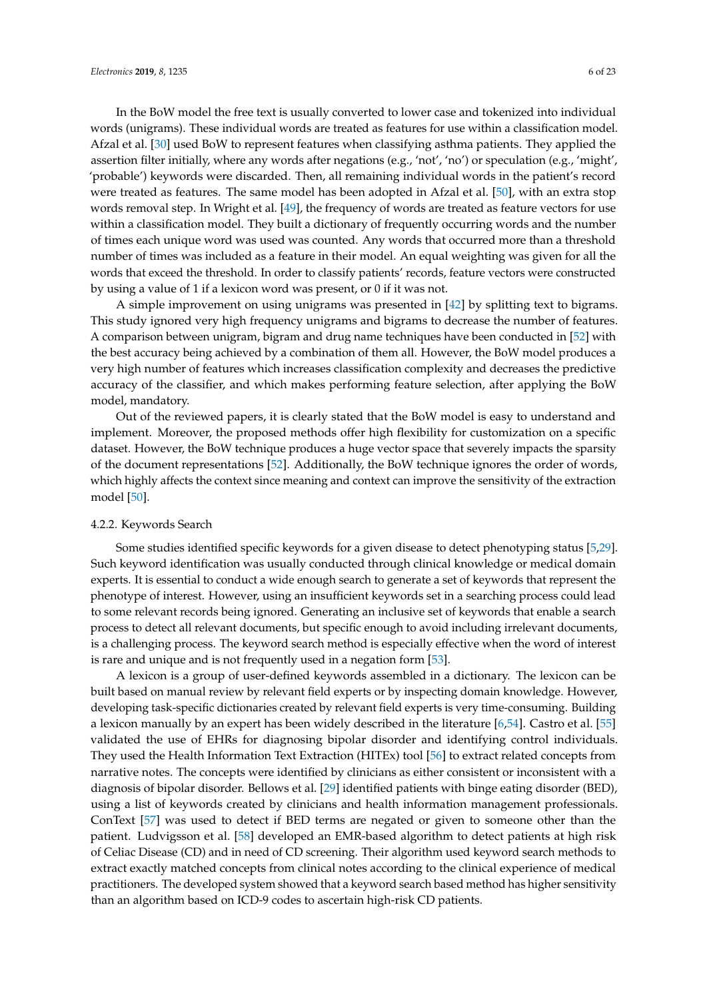In the BoW model the free text is usually converted to lower case and tokenized into individual words (unigrams). These individual words are treated as features for use within a classification model. Afzal et al. [\[30\]](#page-17-7) used BoW to represent features when classifying asthma patients. They applied the assertion filter initially, where any words after negations (e.g., 'not', 'no') or speculation (e.g., 'might', 'probable') keywords were discarded. Then, all remaining individual words in the patient's record were treated as features. The same model has been adopted in Afzal et al. [\[50\]](#page-18-11), with an extra stop words removal step. In Wright et al. [\[49\]](#page-18-9), the frequency of words are treated as feature vectors for use within a classification model. They built a dictionary of frequently occurring words and the number of times each unique word was used was counted. Any words that occurred more than a threshold number of times was included as a feature in their model. An equal weighting was given for all the words that exceed the threshold. In order to classify patients' records, feature vectors were constructed by using a value of 1 if a lexicon word was present, or 0 if it was not.

A simple improvement on using unigrams was presented in [\[42\]](#page-18-2) by splitting text to bigrams. This study ignored very high frequency unigrams and bigrams to decrease the number of features. A comparison between unigram, bigram and drug name techniques have been conducted in [\[52\]](#page-18-12) with the best accuracy being achieved by a combination of them all. However, the BoW model produces a very high number of features which increases classification complexity and decreases the predictive accuracy of the classifier, and which makes performing feature selection, after applying the BoW model, mandatory.

Out of the reviewed papers, it is clearly stated that the BoW model is easy to understand and implement. Moreover, the proposed methods offer high flexibility for customization on a specific dataset. However, the BoW technique produces a huge vector space that severely impacts the sparsity of the document representations [\[52\]](#page-18-12). Additionally, the BoW technique ignores the order of words, which highly affects the context since meaning and context can improve the sensitivity of the extraction model [\[50\]](#page-18-11).

## 4.2.2. Keywords Search

Some studies identified specific keywords for a given disease to detect phenotyping status [\[5](#page-16-0)[,29\]](#page-17-6). Such keyword identification was usually conducted through clinical knowledge or medical domain experts. It is essential to conduct a wide enough search to generate a set of keywords that represent the phenotype of interest. However, using an insufficient keywords set in a searching process could lead to some relevant records being ignored. Generating an inclusive set of keywords that enable a search process to detect all relevant documents, but specific enough to avoid including irrelevant documents, is a challenging process. The keyword search method is especially effective when the word of interest is rare and unique and is not frequently used in a negation form [\[53\]](#page-18-13).

A lexicon is a group of user-defined keywords assembled in a dictionary. The lexicon can be built based on manual review by relevant field experts or by inspecting domain knowledge. However, developing task-specific dictionaries created by relevant field experts is very time-consuming. Building a lexicon manually by an expert has been widely described in the literature [\[6](#page-16-1)[,54\]](#page-18-14). Castro et al. [\[55\]](#page-18-15) validated the use of EHRs for diagnosing bipolar disorder and identifying control individuals. They used the Health Information Text Extraction (HITEx) tool [\[56\]](#page-18-16) to extract related concepts from narrative notes. The concepts were identified by clinicians as either consistent or inconsistent with a diagnosis of bipolar disorder. Bellows et al. [\[29\]](#page-17-6) identified patients with binge eating disorder (BED), using a list of keywords created by clinicians and health information management professionals. ConText [\[57\]](#page-18-17) was used to detect if BED terms are negated or given to someone other than the patient. Ludvigsson et al. [\[58\]](#page-18-18) developed an EMR-based algorithm to detect patients at high risk of Celiac Disease (CD) and in need of CD screening. Their algorithm used keyword search methods to extract exactly matched concepts from clinical notes according to the clinical experience of medical practitioners. The developed system showed that a keyword search based method has higher sensitivity than an algorithm based on ICD-9 codes to ascertain high-risk CD patients.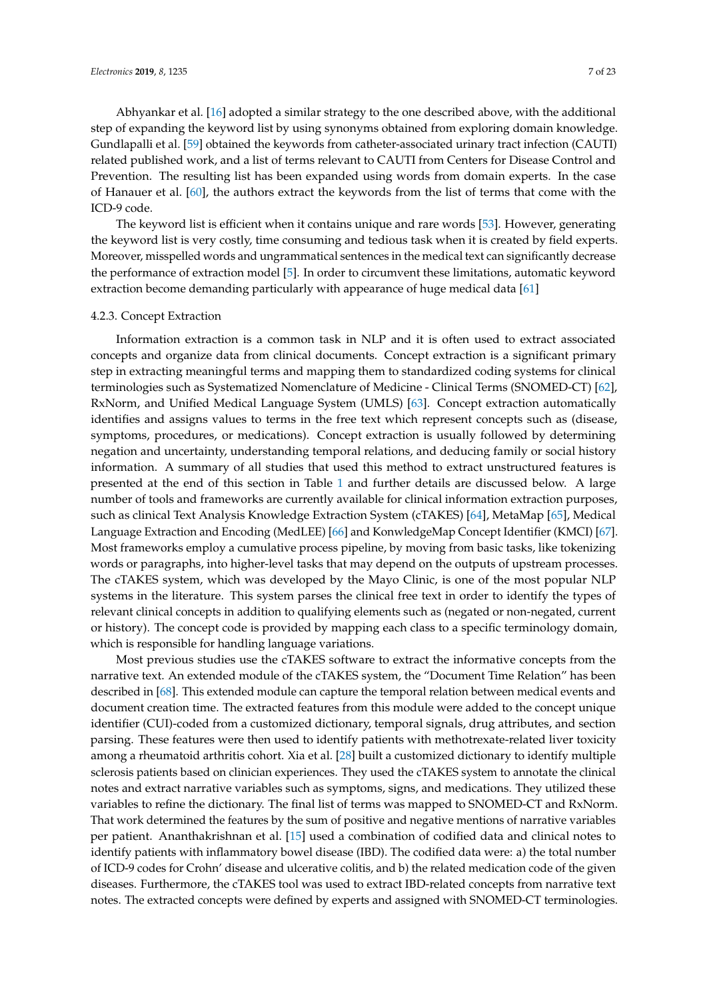Abhyankar et al. [\[16\]](#page-16-15) adopted a similar strategy to the one described above, with the additional step of expanding the keyword list by using synonyms obtained from exploring domain knowledge. Gundlapalli et al. [\[59\]](#page-19-0) obtained the keywords from catheter-associated urinary tract infection (CAUTI) related published work, and a list of terms relevant to CAUTI from Centers for Disease Control and Prevention. The resulting list has been expanded using words from domain experts. In the case of Hanauer et al. [\[60\]](#page-19-1), the authors extract the keywords from the list of terms that come with the ICD-9 code.

The keyword list is efficient when it contains unique and rare words [\[53\]](#page-18-13). However, generating the keyword list is very costly, time consuming and tedious task when it is created by field experts. Moreover, misspelled words and ungrammatical sentences in the medical text can significantly decrease the performance of extraction model [\[5\]](#page-16-0). In order to circumvent these limitations, automatic keyword extraction become demanding particularly with appearance of huge medical data [\[61\]](#page-19-2)

## 4.2.3. Concept Extraction

Information extraction is a common task in NLP and it is often used to extract associated concepts and organize data from clinical documents. Concept extraction is a significant primary step in extracting meaningful terms and mapping them to standardized coding systems for clinical terminologies such as Systematized Nomenclature of Medicine - Clinical Terms (SNOMED-CT) [\[62\]](#page-19-3), RxNorm, and Unified Medical Language System (UMLS) [\[63\]](#page-19-4). Concept extraction automatically identifies and assigns values to terms in the free text which represent concepts such as (disease, symptoms, procedures, or medications). Concept extraction is usually followed by determining negation and uncertainty, understanding temporal relations, and deducing family or social history information. A summary of all studies that used this method to extract unstructured features is presented at the end of this section in Table [1](#page-7-0) and further details are discussed below. A large number of tools and frameworks are currently available for clinical information extraction purposes, such as clinical Text Analysis Knowledge Extraction System (cTAKES) [\[64\]](#page-19-5), MetaMap [\[65\]](#page-19-6), Medical Language Extraction and Encoding (MedLEE) [\[66\]](#page-19-7) and KonwledgeMap Concept Identifier (KMCI) [\[67\]](#page-19-8). Most frameworks employ a cumulative process pipeline, by moving from basic tasks, like tokenizing words or paragraphs, into higher-level tasks that may depend on the outputs of upstream processes. The cTAKES system, which was developed by the Mayo Clinic, is one of the most popular NLP systems in the literature. This system parses the clinical free text in order to identify the types of relevant clinical concepts in addition to qualifying elements such as (negated or non-negated, current or history). The concept code is provided by mapping each class to a specific terminology domain, which is responsible for handling language variations.

Most previous studies use the cTAKES software to extract the informative concepts from the narrative text. An extended module of the cTAKES system, the "Document Time Relation" has been described in [\[68\]](#page-19-9). This extended module can capture the temporal relation between medical events and document creation time. The extracted features from this module were added to the concept unique identifier (CUI)-coded from a customized dictionary, temporal signals, drug attributes, and section parsing. These features were then used to identify patients with methotrexate-related liver toxicity among a rheumatoid arthritis cohort. Xia et al. [\[28\]](#page-17-5) built a customized dictionary to identify multiple sclerosis patients based on clinician experiences. They used the cTAKES system to annotate the clinical notes and extract narrative variables such as symptoms, signs, and medications. They utilized these variables to refine the dictionary. The final list of terms was mapped to SNOMED-CT and RxNorm. That work determined the features by the sum of positive and negative mentions of narrative variables per patient. Ananthakrishnan et al. [\[15\]](#page-16-16) used a combination of codified data and clinical notes to identify patients with inflammatory bowel disease (IBD). The codified data were: a) the total number of ICD-9 codes for Crohn' disease and ulcerative colitis, and b) the related medication code of the given diseases. Furthermore, the cTAKES tool was used to extract IBD-related concepts from narrative text notes. The extracted concepts were defined by experts and assigned with SNOMED-CT terminologies.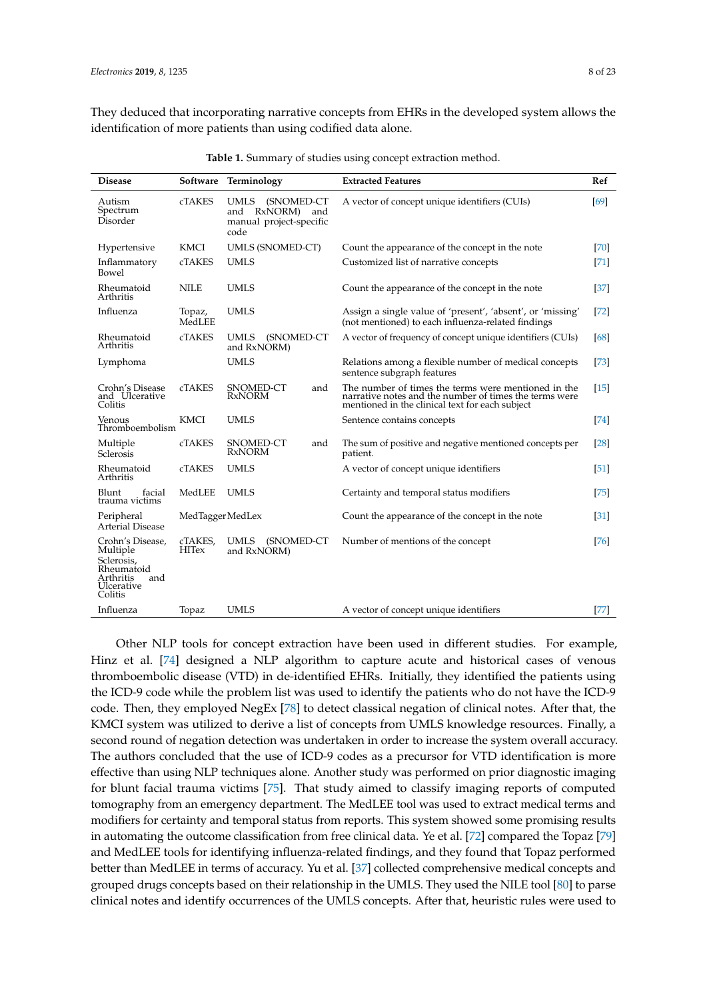They deduced that incorporating narrative concepts from EHRs in the developed system allows the identification of more patients than using codified data alone.

<span id="page-7-0"></span>

| <b>Disease</b>                                                                                        | Software                | Terminology                                                           | <b>Extracted Features</b>                                                                                                                                        | Ref    |  |
|-------------------------------------------------------------------------------------------------------|-------------------------|-----------------------------------------------------------------------|------------------------------------------------------------------------------------------------------------------------------------------------------------------|--------|--|
| Autism<br>Spectrum<br>Disorder                                                                        | <b>cTAKES</b>           | UMLS (SNOMED-CT<br>and RxNORM) and<br>manual project-specific<br>code | A vector of concept unique identifiers (CUIs)                                                                                                                    | [69]   |  |
| Hypertensive                                                                                          | <b>KMCI</b>             | UMLS (SNOMED-CT)                                                      | Count the appearance of the concept in the note                                                                                                                  | [70]   |  |
| Inflammatory<br>Bowel                                                                                 | <b>cTAKES</b>           | <b>UMLS</b>                                                           | Customized list of narrative concepts                                                                                                                            | [71]   |  |
| Rheumatoid<br>Arthritis                                                                               | <b>NILE</b>             | <b>UMLS</b>                                                           | Count the appearance of the concept in the note                                                                                                                  | $[37]$ |  |
| Influenza                                                                                             | Topaz,<br>MedLEE        | <b>UMLS</b>                                                           | Assign a single value of 'present', 'absent', or 'missing'<br>(not mentioned) to each influenza-related findings                                                 | $[72]$ |  |
| Rheumatoid<br>Arthritis                                                                               | <b>cTAKES</b>           | (SNOMED-CT<br><b>UMLS</b><br>and RxNORM)                              | A vector of frequency of concept unique identifiers (CUIs)                                                                                                       | [68]   |  |
| Lymphoma                                                                                              |                         | <b>UMLS</b>                                                           | Relations among a flexible number of medical concepts<br>sentence subgraph features                                                                              | [73]   |  |
| Crohn's Disease<br>and Ulcerative<br>Colitis                                                          | <b>cTAKES</b>           | SNOMED-CT<br>and<br><b>RxNORM</b>                                     | The number of times the terms were mentioned in the<br>narrative notes and the number of times the terms were<br>mentioned in the clinical text for each subject | $[15]$ |  |
| Venous<br>Thromboembolism                                                                             | <b>KMCI</b>             | <b>UMLS</b>                                                           | Sentence contains concepts                                                                                                                                       | [74]   |  |
| Multiple<br>Sclerosis                                                                                 | <b>cTAKES</b>           | SNOMED-CT<br>and<br><b>RxNORM</b>                                     | The sum of positive and negative mentioned concepts per<br>patient.                                                                                              | [28]   |  |
| Rheumatoid<br>Arthritis                                                                               | cTAKES                  | <b>UMLS</b>                                                           | A vector of concept unique identifiers                                                                                                                           | [51]   |  |
| facial<br>Blunt<br>trauma victims                                                                     | MedLEE                  | <b>UMLS</b>                                                           | Certainty and temporal status modifiers                                                                                                                          | $[75]$ |  |
| Peripheral<br><b>Arterial Disease</b>                                                                 | MedTaggerMedLex         |                                                                       | Count the appearance of the concept in the note                                                                                                                  | [31]   |  |
| Crohn's Disease,<br>Multiple<br>Sclerosis,<br>Rheumatoid<br>and<br>Arthritis<br>Ulcerative<br>Colitis | cTAKES,<br><b>HITex</b> | (SNOMED-CT<br><b>UMLS</b><br>and RxNORM)                              | Number of mentions of the concept                                                                                                                                | [76]   |  |
| Influenza                                                                                             | Topaz                   | <b>UMLS</b>                                                           | A vector of concept unique identifiers                                                                                                                           | $[77]$ |  |

**Table 1.** Summary of studies using concept extraction method.

Other NLP tools for concept extraction have been used in different studies. For example, Hinz et al. [\[74\]](#page-19-15) designed a NLP algorithm to capture acute and historical cases of venous thromboembolic disease (VTD) in de-identified EHRs. Initially, they identified the patients using the ICD-9 code while the problem list was used to identify the patients who do not have the ICD-9 code. Then, they employed NegEx [\[78\]](#page-19-19) to detect classical negation of clinical notes. After that, the KMCI system was utilized to derive a list of concepts from UMLS knowledge resources. Finally, a second round of negation detection was undertaken in order to increase the system overall accuracy. The authors concluded that the use of ICD-9 codes as a precursor for VTD identification is more effective than using NLP techniques alone. Another study was performed on prior diagnostic imaging for blunt facial trauma victims [\[75\]](#page-19-16). That study aimed to classify imaging reports of computed tomography from an emergency department. The MedLEE tool was used to extract medical terms and modifiers for certainty and temporal status from reports. This system showed some promising results in automating the outcome classification from free clinical data. Ye et al. [\[72\]](#page-19-13) compared the Topaz [\[79\]](#page-20-0) and MedLEE tools for identifying influenza-related findings, and they found that Topaz performed better than MedLEE in terms of accuracy. Yu et al. [\[37\]](#page-17-12) collected comprehensive medical concepts and grouped drugs concepts based on their relationship in the UMLS. They used the NILE tool [\[80\]](#page-20-1) to parse clinical notes and identify occurrences of the UMLS concepts. After that, heuristic rules were used to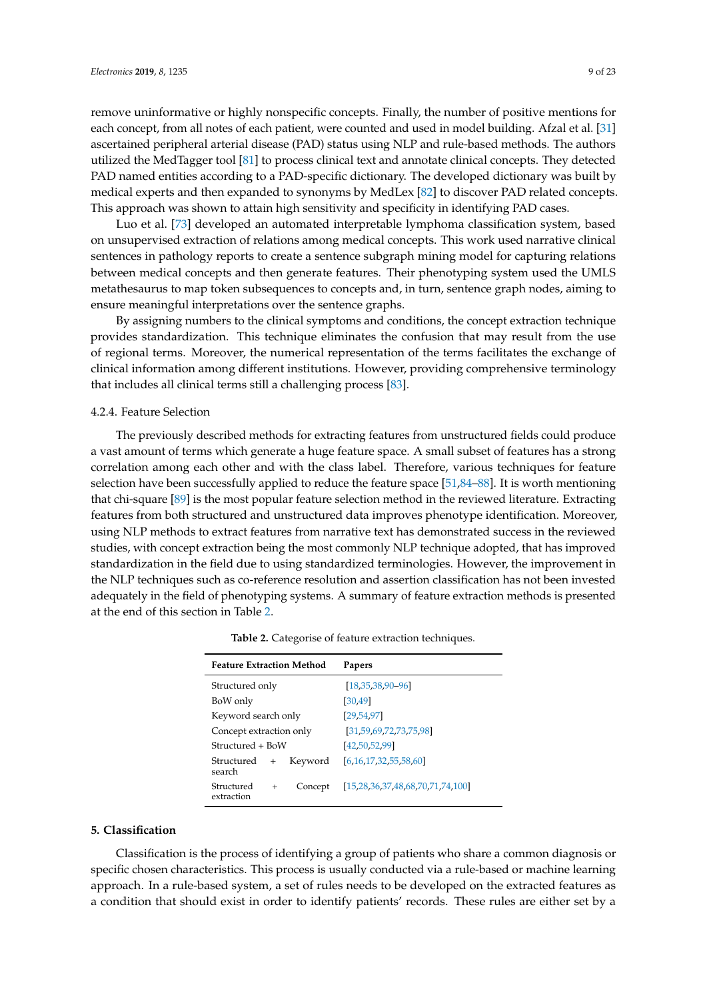remove uninformative or highly nonspecific concepts. Finally, the number of positive mentions for each concept, from all notes of each patient, were counted and used in model building. Afzal et al. [\[31\]](#page-17-8) ascertained peripheral arterial disease (PAD) status using NLP and rule-based methods. The authors utilized the MedTagger tool [\[81\]](#page-20-2) to process clinical text and annotate clinical concepts. They detected PAD named entities according to a PAD-specific dictionary. The developed dictionary was built by medical experts and then expanded to synonyms by MedLex [\[82\]](#page-20-3) to discover PAD related concepts. This approach was shown to attain high sensitivity and specificity in identifying PAD cases.

Luo et al. [\[73\]](#page-19-14) developed an automated interpretable lymphoma classification system, based on unsupervised extraction of relations among medical concepts. This work used narrative clinical sentences in pathology reports to create a sentence subgraph mining model for capturing relations between medical concepts and then generate features. Their phenotyping system used the UMLS metathesaurus to map token subsequences to concepts and, in turn, sentence graph nodes, aiming to ensure meaningful interpretations over the sentence graphs.

By assigning numbers to the clinical symptoms and conditions, the concept extraction technique provides standardization. This technique eliminates the confusion that may result from the use of regional terms. Moreover, the numerical representation of the terms facilitates the exchange of clinical information among different institutions. However, providing comprehensive terminology that includes all clinical terms still a challenging process [\[83\]](#page-20-4).

## 4.2.4. Feature Selection

The previously described methods for extracting features from unstructured fields could produce a vast amount of terms which generate a huge feature space. A small subset of features has a strong correlation among each other and with the class label. Therefore, various techniques for feature selection have been successfully applied to reduce the feature space [\[51,](#page-18-10)[84–](#page-20-5)[88\]](#page-20-6). It is worth mentioning that chi-square [\[89\]](#page-20-7) is the most popular feature selection method in the reviewed literature. Extracting features from both structured and unstructured data improves phenotype identification. Moreover, using NLP methods to extract features from narrative text has demonstrated success in the reviewed studies, with concept extraction being the most commonly NLP technique adopted, that has improved standardization in the field due to using standardized terminologies. However, the improvement in the NLP techniques such as co-reference resolution and assertion classification has not been invested adequately in the field of phenotyping systems. A summary of feature extraction methods is presented at the end of this section in Table [2.](#page-8-1)

<span id="page-8-1"></span>

| <b>Feature Extraction Method</b>           | Papers                           |  |  |  |  |
|--------------------------------------------|----------------------------------|--|--|--|--|
| Structured only                            | $[18,35,38,90-96]$               |  |  |  |  |
| BoW only                                   | [30.49]                          |  |  |  |  |
| Keyword search only                        | [29, 54, 97]                     |  |  |  |  |
| Concept extraction only                    | [31,59,69,72,73,75,98]           |  |  |  |  |
| Structured + BoW                           | [42, 50, 52, 99]                 |  |  |  |  |
| Structured + Keyword<br>search             | [6.16.17.32.55.58.60]            |  |  |  |  |
| Structured<br>Concept<br>$+$<br>extraction | [15,28,36,37,48,68,70,71,74,100] |  |  |  |  |

**Table 2.** Categorise of feature extraction techniques.

## <span id="page-8-0"></span>**5. Classification**

Classification is the process of identifying a group of patients who share a common diagnosis or specific chosen characteristics. This process is usually conducted via a rule-based or machine learning approach. In a rule-based system, a set of rules needs to be developed on the extracted features as a condition that should exist in order to identify patients' records. These rules are either set by a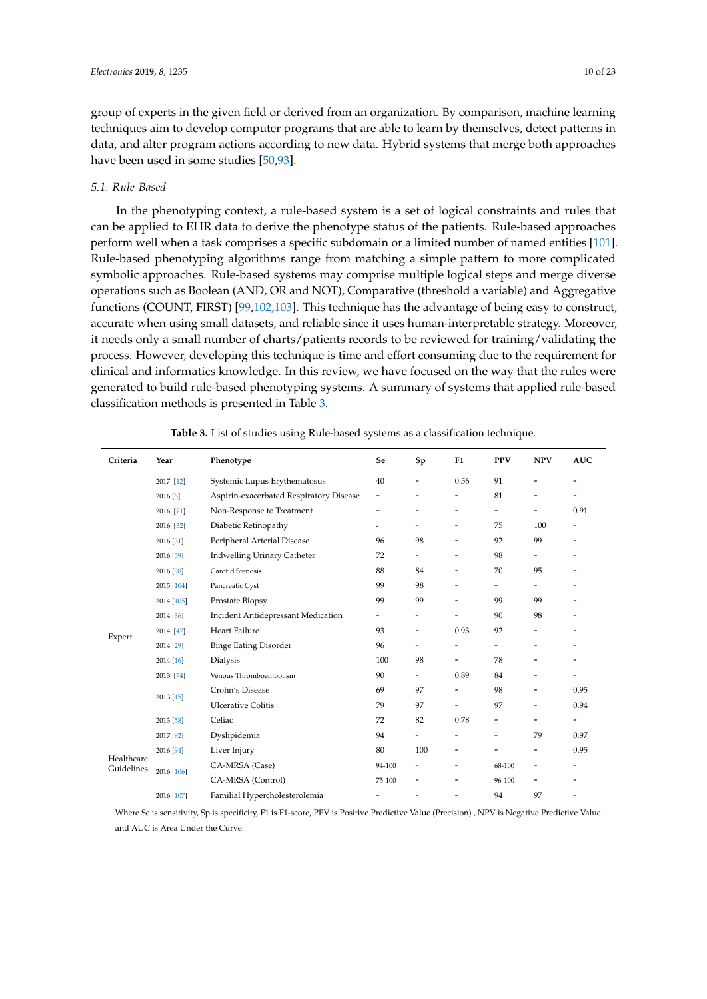group of experts in the given field or derived from an organization. By comparison, machine learning techniques aim to develop computer programs that are able to learn by themselves, detect patterns in data, and alter program actions according to new data. Hybrid systems that merge both approaches have been used in some studies [\[50](#page-18-11)[,93\]](#page-20-13).

# *5.1. Rule-Based*

In the phenotyping context, a rule-based system is a set of logical constraints and rules that can be applied to EHR data to derive the phenotype status of the patients. Rule-based approaches perform well when a task comprises a specific subdomain or a limited number of named entities [\[101\]](#page-21-1). Rule-based phenotyping algorithms range from matching a simple pattern to more complicated symbolic approaches. Rule-based systems may comprise multiple logical steps and merge diverse operations such as Boolean (AND, OR and NOT), Comparative (threshold a variable) and Aggregative functions (COUNT, FIRST) [\[99,](#page-20-12)[102,](#page-21-2)[103\]](#page-21-3). This technique has the advantage of being easy to construct, accurate when using small datasets, and reliable since it uses human-interpretable strategy. Moreover, it needs only a small number of charts/patients records to be reviewed for training/validating the process. However, developing this technique is time and effort consuming due to the requirement for clinical and informatics knowledge. In this review, we have focused on the way that the rules were generated to build rule-based phenotyping systems. A summary of systems that applied rule-based classification methods is presented in Table [3.](#page-9-0)

<span id="page-9-0"></span>

| Criteria                 | Year       | Phenotype                               | Se                           | Sp                           | F1                       | <b>PPV</b> | <b>NPV</b>                   | <b>AUC</b>               |
|--------------------------|------------|-----------------------------------------|------------------------------|------------------------------|--------------------------|------------|------------------------------|--------------------------|
|                          | 2017 [12]  | Systemic Lupus Erythematosus            | 40                           |                              | 0.56                     | 91         |                              | -                        |
|                          | 2016 [6]   | Aspirin-exacerbated Respiratory Disease |                              |                              |                          | 81         |                              | -                        |
|                          | 2016 [71]  | Non-Response to Treatment               |                              | $\overline{\phantom{0}}$     |                          | -          | $\overline{\phantom{0}}$     | 0.91                     |
|                          | 2016 [32]  | Diabetic Retinopathy                    | ÷                            | $\qquad \qquad -$            | -                        | 75         | 100                          | -                        |
|                          | 2016 [31]  | Peripheral Arterial Disease             | 96                           | 98                           |                          | 92         | 99                           |                          |
|                          | 2016 [59]  | <b>Indwelling Urinary Catheter</b>      | 72                           | $\qquad \qquad \blacksquare$ |                          | 98         | -                            |                          |
|                          | 2016 [98]  | Carotid Stenosis                        | 88                           | 84                           |                          | 70         | 95                           |                          |
|                          | 2015 [104] | Pancreatic Cyst                         | 99                           | 98                           |                          | -          | $\qquad \qquad -$            |                          |
|                          | 2014 [105] | Prostate Biopsy                         | 99                           | 99                           |                          | 99         | 99                           |                          |
|                          | 2014 [36]  | Incident Antidepressant Medication      | $\qquad \qquad \blacksquare$ | $\overline{\phantom{0}}$     | -                        | 90         | 98                           |                          |
|                          | 2014 [47]  | <b>Heart Failure</b>                    | 93                           | $\qquad \qquad -$            | 0.93                     | 92         |                              |                          |
| Expert                   | 2014 [29]  | <b>Binge Eating Disorder</b>            | 96                           | $\qquad \qquad -$            |                          |            |                              | -                        |
|                          | 2014 [16]  | Dialysis                                | 100                          | 98                           | -                        | 78         |                              |                          |
|                          | 2013 [74]  | Venous Thromboembolism                  | 90                           | $\qquad \qquad \blacksquare$ | 0.89                     | 84         |                              | -                        |
|                          | 2013 [15]  | Crohn's Disease                         | 69                           | 97                           |                          | 98         |                              | 0.95                     |
|                          |            | <b>Ulcerative Colitis</b>               | 79                           | 97                           | $\overline{\phantom{0}}$ | 97         | $\qquad \qquad \blacksquare$ | 0.94                     |
|                          | 2013 [58]  | Celiac                                  | 72                           | 82                           | 0.78                     |            | $\qquad \qquad -$            | $\overline{\phantom{0}}$ |
|                          | 2017 [92]  | Dyslipidemia                            | 94                           | $\qquad \qquad -$            |                          | -          | 79                           | 0.97                     |
|                          | 2016 [94]  | Liver Injury                            | 80                           | 100                          |                          |            | $\qquad \qquad -$            | 0.95                     |
| Healthcare<br>Guidelines |            | CA-MRSA (Case)                          | 94-100                       |                              |                          | 68-100     |                              |                          |
|                          | 2016 [106] | CA-MRSA (Control)                       | 75-100                       |                              |                          | 96-100     |                              | -                        |
|                          | 2016 [107] | Familial Hypercholesterolemia           |                              |                              |                          | 94         | 97                           | -                        |

**Table 3.** List of studies using Rule-based systems as a classification technique.

Where Se is sensitivity, Sp is specificity, F1 is F1-score, PPV is Positive Predictive Value (Precision) , NPV is Negative Predictive Value and AUC is Area Under the Curve.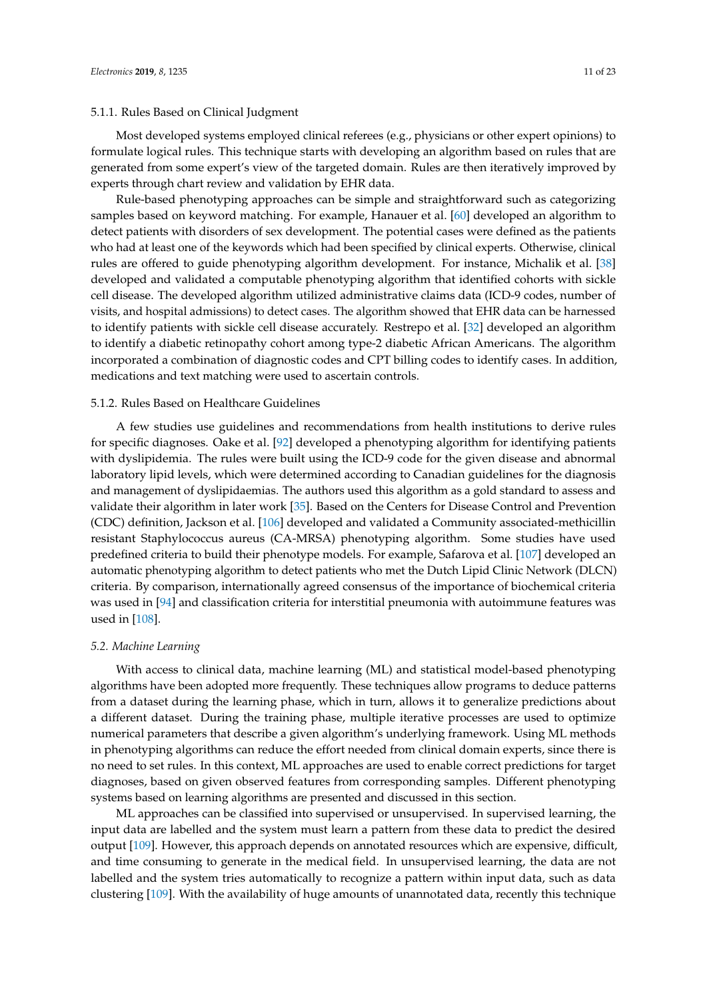## 5.1.1. Rules Based on Clinical Judgment

Most developed systems employed clinical referees (e.g., physicians or other expert opinions) to formulate logical rules. This technique starts with developing an algorithm based on rules that are generated from some expert's view of the targeted domain. Rules are then iteratively improved by experts through chart review and validation by EHR data.

Rule-based phenotyping approaches can be simple and straightforward such as categorizing samples based on keyword matching. For example, Hanauer et al. [\[60\]](#page-19-1) developed an algorithm to detect patients with disorders of sex development. The potential cases were defined as the patients who had at least one of the keywords which had been specified by clinical experts. Otherwise, clinical rules are offered to guide phenotyping algorithm development. For instance, Michalik et al. [\[38\]](#page-17-13) developed and validated a computable phenotyping algorithm that identified cohorts with sickle cell disease. The developed algorithm utilized administrative claims data (ICD-9 codes, number of visits, and hospital admissions) to detect cases. The algorithm showed that EHR data can be harnessed to identify patients with sickle cell disease accurately. Restrepo et al. [\[32\]](#page-17-16) developed an algorithm to identify a diabetic retinopathy cohort among type-2 diabetic African Americans. The algorithm incorporated a combination of diagnostic codes and CPT billing codes to identify cases. In addition, medications and text matching were used to ascertain controls.

# 5.1.2. Rules Based on Healthcare Guidelines

A few studies use guidelines and recommendations from health institutions to derive rules for specific diagnoses. Oake et al. [\[92\]](#page-20-14) developed a phenotyping algorithm for identifying patients with dyslipidemia. The rules were built using the ICD-9 code for the given disease and abnormal laboratory lipid levels, which were determined according to Canadian guidelines for the diagnosis and management of dyslipidaemias. The authors used this algorithm as a gold standard to assess and validate their algorithm in later work [\[35\]](#page-17-10). Based on the Centers for Disease Control and Prevention (CDC) definition, Jackson et al. [\[106\]](#page-21-6) developed and validated a Community associated-methicillin resistant Staphylococcus aureus (CA-MRSA) phenotyping algorithm. Some studies have used predefined criteria to build their phenotype models. For example, Safarova et al. [\[107\]](#page-21-7) developed an automatic phenotyping algorithm to detect patients who met the Dutch Lipid Clinic Network (DLCN) criteria. By comparison, internationally agreed consensus of the importance of biochemical criteria was used in [\[94\]](#page-20-15) and classification criteria for interstitial pneumonia with autoimmune features was used in [\[108\]](#page-21-8).

## *5.2. Machine Learning*

With access to clinical data, machine learning (ML) and statistical model-based phenotyping algorithms have been adopted more frequently. These techniques allow programs to deduce patterns from a dataset during the learning phase, which in turn, allows it to generalize predictions about a different dataset. During the training phase, multiple iterative processes are used to optimize numerical parameters that describe a given algorithm's underlying framework. Using ML methods in phenotyping algorithms can reduce the effort needed from clinical domain experts, since there is no need to set rules. In this context, ML approaches are used to enable correct predictions for target diagnoses, based on given observed features from corresponding samples. Different phenotyping systems based on learning algorithms are presented and discussed in this section.

ML approaches can be classified into supervised or unsupervised. In supervised learning, the input data are labelled and the system must learn a pattern from these data to predict the desired output [\[109\]](#page-21-9). However, this approach depends on annotated resources which are expensive, difficult, and time consuming to generate in the medical field. In unsupervised learning, the data are not labelled and the system tries automatically to recognize a pattern within input data, such as data clustering [\[109\]](#page-21-9). With the availability of huge amounts of unannotated data, recently this technique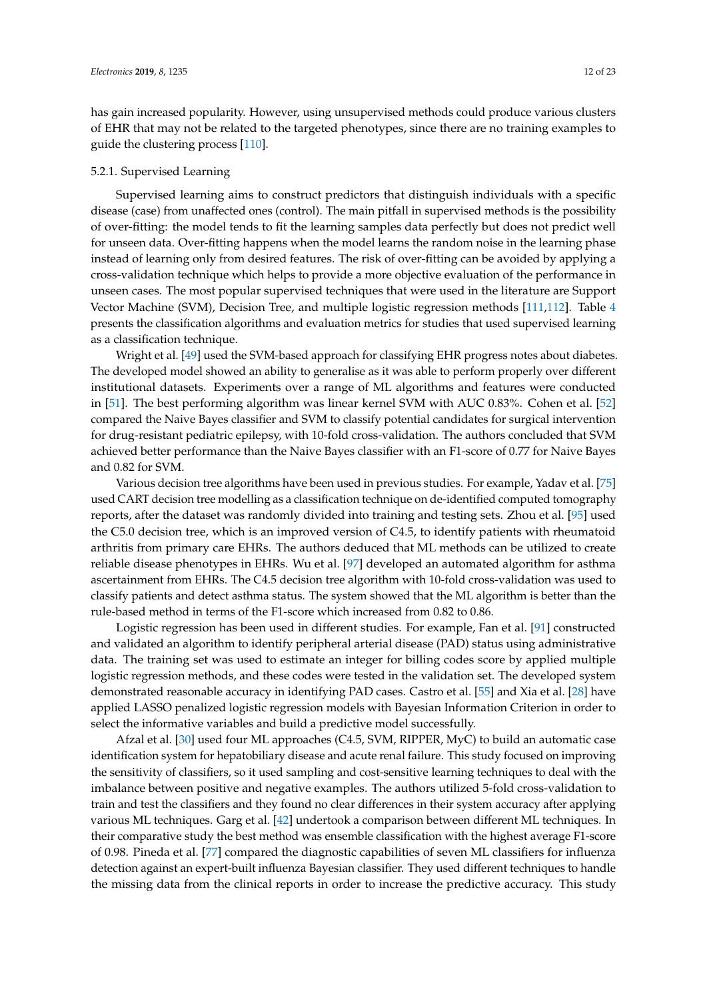has gain increased popularity. However, using unsupervised methods could produce various clusters of EHR that may not be related to the targeted phenotypes, since there are no training examples to guide the clustering process [\[110\]](#page-21-10).

## 5.2.1. Supervised Learning

Supervised learning aims to construct predictors that distinguish individuals with a specific disease (case) from unaffected ones (control). The main pitfall in supervised methods is the possibility of over-fitting: the model tends to fit the learning samples data perfectly but does not predict well for unseen data. Over-fitting happens when the model learns the random noise in the learning phase instead of learning only from desired features. The risk of over-fitting can be avoided by applying a cross-validation technique which helps to provide a more objective evaluation of the performance in unseen cases. The most popular supervised techniques that were used in the literature are Support Vector Machine (SVM), Decision Tree, and multiple logistic regression methods [\[111](#page-21-11)[,112\]](#page-21-12). Table [4](#page-12-0) presents the classification algorithms and evaluation metrics for studies that used supervised learning as a classification technique.

Wright et al. [\[49\]](#page-18-9) used the SVM-based approach for classifying EHR progress notes about diabetes. The developed model showed an ability to generalise as it was able to perform properly over different institutional datasets. Experiments over a range of ML algorithms and features were conducted in [\[51\]](#page-18-10). The best performing algorithm was linear kernel SVM with AUC 0.83%. Cohen et al. [\[52\]](#page-18-12) compared the Naive Bayes classifier and SVM to classify potential candidates for surgical intervention for drug-resistant pediatric epilepsy, with 10-fold cross-validation. The authors concluded that SVM achieved better performance than the Naive Bayes classifier with an F1-score of 0.77 for Naive Bayes and 0.82 for SVM.

Various decision tree algorithms have been used in previous studies. For example, Yadav et al. [\[75\]](#page-19-16) used CART decision tree modelling as a classification technique on de-identified computed tomography reports, after the dataset was randomly divided into training and testing sets. Zhou et al. [\[95\]](#page-20-16) used the C5.0 decision tree, which is an improved version of C4.5, to identify patients with rheumatoid arthritis from primary care EHRs. The authors deduced that ML methods can be utilized to create reliable disease phenotypes in EHRs. Wu et al. [\[97\]](#page-20-10) developed an automated algorithm for asthma ascertainment from EHRs. The C4.5 decision tree algorithm with 10-fold cross-validation was used to classify patients and detect asthma status. The system showed that the ML algorithm is better than the rule-based method in terms of the F1-score which increased from 0.82 to 0.86.

Logistic regression has been used in different studies. For example, Fan et al. [\[91\]](#page-20-17) constructed and validated an algorithm to identify peripheral arterial disease (PAD) status using administrative data. The training set was used to estimate an integer for billing codes score by applied multiple logistic regression methods, and these codes were tested in the validation set. The developed system demonstrated reasonable accuracy in identifying PAD cases. Castro et al. [\[55\]](#page-18-15) and Xia et al. [\[28\]](#page-17-5) have applied LASSO penalized logistic regression models with Bayesian Information Criterion in order to select the informative variables and build a predictive model successfully.

Afzal et al. [\[30\]](#page-17-7) used four ML approaches (C4.5, SVM, RIPPER, MyC) to build an automatic case identification system for hepatobiliary disease and acute renal failure. This study focused on improving the sensitivity of classifiers, so it used sampling and cost-sensitive learning techniques to deal with the imbalance between positive and negative examples. The authors utilized 5-fold cross-validation to train and test the classifiers and they found no clear differences in their system accuracy after applying various ML techniques. Garg et al. [\[42\]](#page-18-2) undertook a comparison between different ML techniques. In their comparative study the best method was ensemble classification with the highest average F1-score of 0.98. Pineda et al. [\[77\]](#page-19-18) compared the diagnostic capabilities of seven ML classifiers for influenza detection against an expert-built influenza Bayesian classifier. They used different techniques to handle the missing data from the clinical reports in order to increase the predictive accuracy. This study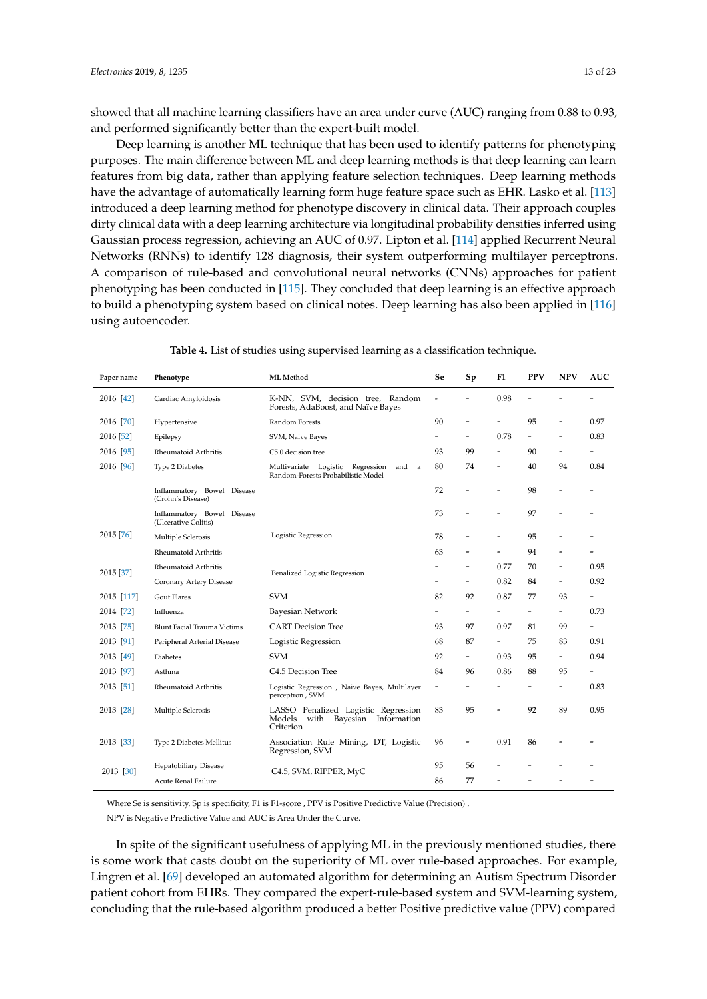showed that all machine learning classifiers have an area under curve (AUC) ranging from 0.88 to 0.93, and performed significantly better than the expert-built model.

Deep learning is another ML technique that has been used to identify patterns for phenotyping purposes. The main difference between ML and deep learning methods is that deep learning can learn features from big data, rather than applying feature selection techniques. Deep learning methods have the advantage of automatically learning form huge feature space such as EHR. Lasko et al. [\[113\]](#page-21-13) introduced a deep learning method for phenotype discovery in clinical data. Their approach couples dirty clinical data with a deep learning architecture via longitudinal probability densities inferred using Gaussian process regression, achieving an AUC of 0.97. Lipton et al. [\[114\]](#page-21-14) applied Recurrent Neural Networks (RNNs) to identify 128 diagnosis, their system outperforming multilayer perceptrons. A comparison of rule-based and convolutional neural networks (CNNs) approaches for patient phenotyping has been conducted in [\[115\]](#page-21-15). They concluded that deep learning is an effective approach to build a phenotyping system based on clinical notes. Deep learning has also been applied in [\[116\]](#page-21-16) using autoencoder.

<span id="page-12-0"></span>

| Paper name | Phenotype                                          | <b>ML</b> Method                                                                        | Se                       | $\mathbf{Sp}$            | F1                           | <b>PPV</b>               | <b>NPV</b>               | <b>AUC</b>               |
|------------|----------------------------------------------------|-----------------------------------------------------------------------------------------|--------------------------|--------------------------|------------------------------|--------------------------|--------------------------|--------------------------|
| 2016 [42]  | Cardiac Amyloidosis                                | K-NN, SVM, decision tree, Random<br>Forests, AdaBoost, and Naïve Bayes                  | $\overline{a}$           | ۰                        | 0.98                         |                          |                          |                          |
| 2016 [70]  | Hypertensive                                       | Random Forests                                                                          | 90                       | $\overline{\phantom{0}}$ | $\overline{\phantom{a}}$     | 95                       | $\overline{\phantom{a}}$ | 0.97                     |
| 2016 [52]  | Epilepsy                                           | SVM, Naive Bayes                                                                        |                          | $\overline{\phantom{0}}$ | 0.78                         | $\overline{a}$           | $\overline{a}$           | 0.83                     |
| 2016 [95]  | Rheumatoid Arthritis                               | C5.0 decision tree                                                                      |                          | 99                       | $\overline{\phantom{m}}$     | 90                       | $\overline{\phantom{a}}$ | $\overline{\phantom{a}}$ |
| 2016 [96]  | <b>Type 2 Diabetes</b>                             | Multivariate Logistic Regression<br>and a<br>Random-Forests Probabilistic Model         | 80                       | 74                       | $\qquad \qquad \blacksquare$ | 40                       | 94                       | 0.84                     |
|            | Inflammatory Bowel Disease<br>(Crohn's Disease)    |                                                                                         | 72                       |                          | ۰                            | 98                       | ۰                        |                          |
|            | Inflammatory Bowel Disease<br>(Ulcerative Colitis) |                                                                                         | 73                       |                          | ÷                            | 97                       |                          |                          |
| 2015 [76]  | Multiple Sclerosis                                 | Logistic Regression                                                                     | 78                       |                          | $\overline{\phantom{0}}$     | 95                       |                          |                          |
|            | Rheumatoid Arthritis                               |                                                                                         | 63                       |                          | $\overline{\phantom{a}}$     | 94                       | ۰                        | $\overline{\phantom{0}}$ |
| 2015 [37]  | Rheumatoid Arthritis                               | Penalized Logistic Regression                                                           |                          | ۰                        | 0.77                         | 70                       | $\overline{\phantom{a}}$ | 0.95                     |
|            | Coronary Artery Disease                            |                                                                                         | $\overline{\phantom{a}}$ | $\overline{\phantom{a}}$ | 0.82                         | 84                       | $\overline{\phantom{a}}$ | 0.92                     |
| 2015 [117] | Gout Flares                                        | <b>SVM</b>                                                                              | 82                       | 92                       | 0.87                         | 77                       | 93                       | $\overline{\phantom{0}}$ |
| 2014 [72]  | Influenza                                          | Bayesian Network                                                                        | $\overline{\phantom{0}}$ | $\overline{\phantom{0}}$ | $\overline{\phantom{0}}$     | $\overline{\phantom{a}}$ | $\overline{\phantom{a}}$ | 0.73                     |
| 2013 [75]  | <b>Blunt Facial Trauma Victims</b>                 | <b>CART</b> Decision Tree                                                               | 93                       | 97                       | 0.97                         | 81                       | 99                       | $\overline{\phantom{m}}$ |
| 2013 [91]  | Peripheral Arterial Disease                        | Logistic Regression                                                                     | 68                       | 87                       | $\overline{\phantom{a}}$     | 75                       | 83                       | 0.91                     |
| 2013 [49]  | Diabetes                                           | <b>SVM</b>                                                                              | 92                       | $\overline{\phantom{a}}$ | 0.93                         | 95                       | $\overline{\phantom{a}}$ | 0.94                     |
| 2013 [97]  | Asthma                                             | C4.5 Decision Tree                                                                      | 84                       | 96                       | 0.86                         | 88                       | 95                       | $\overline{\phantom{m}}$ |
| 2013 [51]  | Rheumatoid Arthritis                               | Logistic Regression , Naive Bayes, Multilayer<br>perceptron, SVM                        | $\overline{\phantom{a}}$ | $\overline{\phantom{0}}$ |                              | ٠                        | $\overline{\phantom{a}}$ | 0.83                     |
| 2013 [28]  | Multiple Sclerosis                                 | LASSO Penalized Logistic Regression<br>with Bayesian Information<br>Models<br>Criterion | 83                       | 95                       | $\overline{\phantom{a}}$     | 92                       | 89                       | 0.95                     |
| 2013 [33]  | Type 2 Diabetes Mellitus                           | Association Rule Mining, DT, Logistic<br>Regression, SVM                                | 96                       | $\overline{\phantom{a}}$ | 0.91                         | 86                       | -                        |                          |
| 2013 [30]  | Hepatobiliary Disease                              | C4.5, SVM, RIPPER, MyC                                                                  | 95                       | 56                       |                              |                          |                          |                          |
|            | Acute Renal Failure                                |                                                                                         | 86                       | 77                       |                              |                          |                          |                          |

**Table 4.** List of studies using supervised learning as a classification technique.

Where Se is sensitivity, Sp is specificity, F1 is F1-score, PPV is Positive Predictive Value (Precision),

NPV is Negative Predictive Value and AUC is Area Under the Curve.

In spite of the significant usefulness of applying ML in the previously mentioned studies, there is some work that casts doubt on the superiority of ML over rule-based approaches. For example, Lingren et al. [\[69\]](#page-19-10) developed an automated algorithm for determining an Autism Spectrum Disorder patient cohort from EHRs. They compared the expert-rule-based system and SVM-learning system, concluding that the rule-based algorithm produced a better Positive predictive value (PPV) compared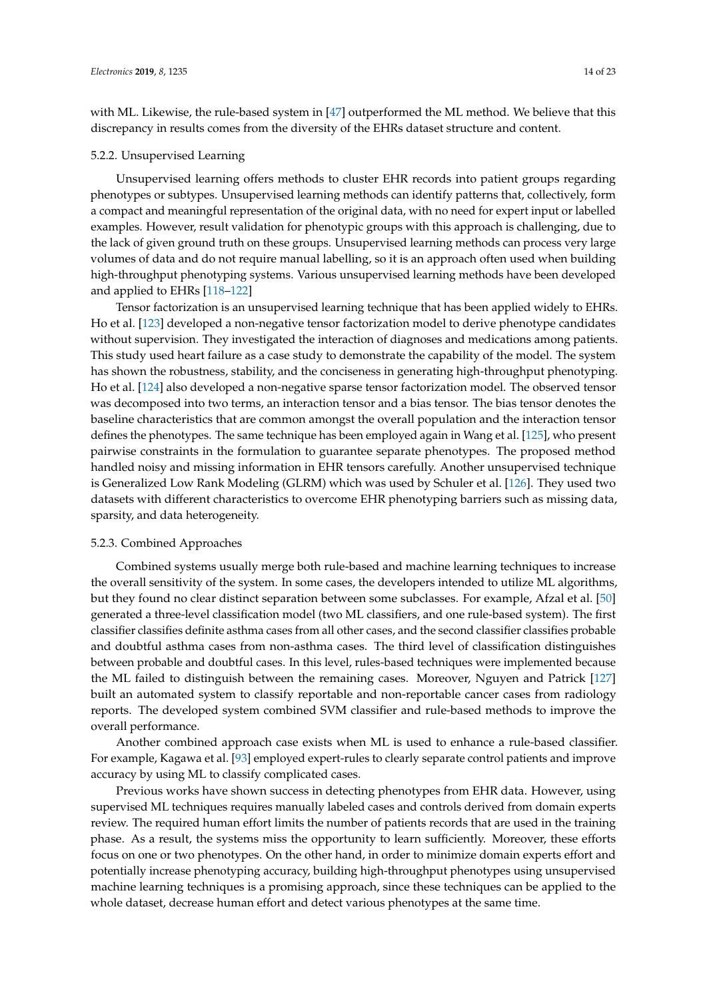with ML. Likewise, the rule-based system in [\[47\]](#page-18-7) outperformed the ML method. We believe that this discrepancy in results comes from the diversity of the EHRs dataset structure and content.

#### 5.2.2. Unsupervised Learning

Unsupervised learning offers methods to cluster EHR records into patient groups regarding phenotypes or subtypes. Unsupervised learning methods can identify patterns that, collectively, form a compact and meaningful representation of the original data, with no need for expert input or labelled examples. However, result validation for phenotypic groups with this approach is challenging, due to the lack of given ground truth on these groups. Unsupervised learning methods can process very large volumes of data and do not require manual labelling, so it is an approach often used when building high-throughput phenotyping systems. Various unsupervised learning methods have been developed and applied to EHRs [\[118](#page-21-18)[–122\]](#page-22-0)

Tensor factorization is an unsupervised learning technique that has been applied widely to EHRs. Ho et al. [\[123\]](#page-22-1) developed a non-negative tensor factorization model to derive phenotype candidates without supervision. They investigated the interaction of diagnoses and medications among patients. This study used heart failure as a case study to demonstrate the capability of the model. The system has shown the robustness, stability, and the conciseness in generating high-throughput phenotyping. Ho et al. [\[124\]](#page-22-2) also developed a non-negative sparse tensor factorization model. The observed tensor was decomposed into two terms, an interaction tensor and a bias tensor. The bias tensor denotes the baseline characteristics that are common amongst the overall population and the interaction tensor defines the phenotypes. The same technique has been employed again in Wang et al. [\[125\]](#page-22-3), who present pairwise constraints in the formulation to guarantee separate phenotypes. The proposed method handled noisy and missing information in EHR tensors carefully. Another unsupervised technique is Generalized Low Rank Modeling (GLRM) which was used by Schuler et al. [\[126\]](#page-22-4). They used two datasets with different characteristics to overcome EHR phenotyping barriers such as missing data, sparsity, and data heterogeneity.

## 5.2.3. Combined Approaches

Combined systems usually merge both rule-based and machine learning techniques to increase the overall sensitivity of the system. In some cases, the developers intended to utilize ML algorithms, but they found no clear distinct separation between some subclasses. For example, Afzal et al. [\[50\]](#page-18-11) generated a three-level classification model (two ML classifiers, and one rule-based system). The first classifier classifies definite asthma cases from all other cases, and the second classifier classifies probable and doubtful asthma cases from non-asthma cases. The third level of classification distinguishes between probable and doubtful cases. In this level, rules-based techniques were implemented because the ML failed to distinguish between the remaining cases. Moreover, Nguyen and Patrick [\[127\]](#page-22-5) built an automated system to classify reportable and non-reportable cancer cases from radiology reports. The developed system combined SVM classifier and rule-based methods to improve the overall performance.

Another combined approach case exists when ML is used to enhance a rule-based classifier. For example, Kagawa et al. [\[93\]](#page-20-13) employed expert-rules to clearly separate control patients and improve accuracy by using ML to classify complicated cases.

Previous works have shown success in detecting phenotypes from EHR data. However, using supervised ML techniques requires manually labeled cases and controls derived from domain experts review. The required human effort limits the number of patients records that are used in the training phase. As a result, the systems miss the opportunity to learn sufficiently. Moreover, these efforts focus on one or two phenotypes. On the other hand, in order to minimize domain experts effort and potentially increase phenotyping accuracy, building high-throughput phenotypes using unsupervised machine learning techniques is a promising approach, since these techniques can be applied to the whole dataset, decrease human effort and detect various phenotypes at the same time.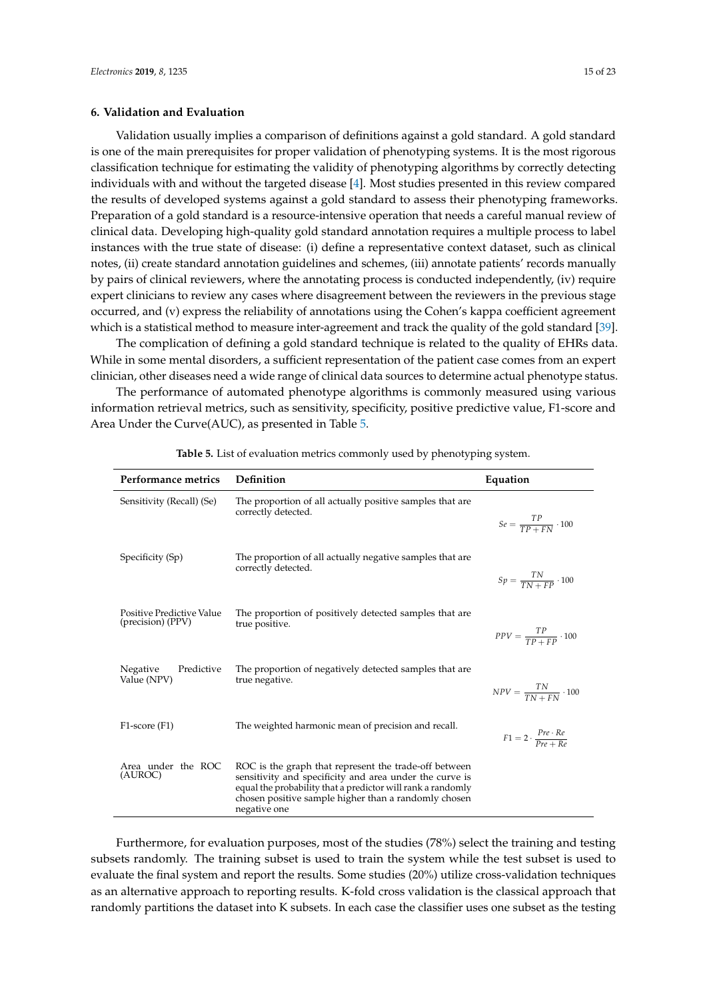## <span id="page-14-0"></span>**6. Validation and Evaluation**

Validation usually implies a comparison of definitions against a gold standard. A gold standard is one of the main prerequisites for proper validation of phenotyping systems. It is the most rigorous classification technique for estimating the validity of phenotyping algorithms by correctly detecting individuals with and without the targeted disease [\[4\]](#page-15-3). Most studies presented in this review compared the results of developed systems against a gold standard to assess their phenotyping frameworks. Preparation of a gold standard is a resource-intensive operation that needs a careful manual review of clinical data. Developing high-quality gold standard annotation requires a multiple process to label instances with the true state of disease: (i) define a representative context dataset, such as clinical notes, (ii) create standard annotation guidelines and schemes, (iii) annotate patients' records manually by pairs of clinical reviewers, where the annotating process is conducted independently, (iv) require expert clinicians to review any cases where disagreement between the reviewers in the previous stage occurred, and (v) express the reliability of annotations using the Cohen's kappa coefficient agreement which is a statistical method to measure inter-agreement and track the quality of the gold standard [\[39\]](#page-17-14).

The complication of defining a gold standard technique is related to the quality of EHRs data. While in some mental disorders, a sufficient representation of the patient case comes from an expert clinician, other diseases need a wide range of clinical data sources to determine actual phenotype status.

The performance of automated phenotype algorithms is commonly measured using various information retrieval metrics, such as sensitivity, specificity, positive predictive value, F1-score and Area Under the Curve(AUC), as presented in Table [5.](#page-14-1)

<span id="page-14-1"></span>

| Performance metrics                            | Definition                                                                                                                                                                                                                                              | Equation                                     |  |  |
|------------------------------------------------|---------------------------------------------------------------------------------------------------------------------------------------------------------------------------------------------------------------------------------------------------------|----------------------------------------------|--|--|
| Sensitivity (Recall) (Se)                      | The proportion of all actually positive samples that are<br>correctly detected.                                                                                                                                                                         | $Se = \frac{TP}{TP + FN} \cdot 100$          |  |  |
| Specificity (Sp)                               | The proportion of all actually negative samples that are<br>correctly detected.                                                                                                                                                                         | $Sp = \frac{TN}{TN + FP} \cdot 100$          |  |  |
| Positive Predictive Value<br>(precision) (PPV) | The proportion of positively detected samples that are<br>true positive.                                                                                                                                                                                | $PPV = \frac{TP}{TP + FP} \cdot 100$         |  |  |
| Predictive<br>Negative<br>Value (NPV)          | The proportion of negatively detected samples that are<br>true negative.                                                                                                                                                                                | $NPV = \frac{TN}{TN + FN} \cdot 100$         |  |  |
| F1-score (F1)                                  | The weighted harmonic mean of precision and recall.                                                                                                                                                                                                     | $F1 = 2 \cdot \frac{Pre \cdot Re}{Pre + Re}$ |  |  |
| Area under the ROC<br>(AUROC)                  | ROC is the graph that represent the trade-off between<br>sensitivity and specificity and area under the curve is<br>equal the probability that a predictor will rank a randomly<br>chosen positive sample higher than a randomly chosen<br>negative one |                                              |  |  |

**Table 5.** List of evaluation metrics commonly used by phenotyping system.

Furthermore, for evaluation purposes, most of the studies (78%) select the training and testing subsets randomly. The training subset is used to train the system while the test subset is used to evaluate the final system and report the results. Some studies (20%) utilize cross-validation techniques as an alternative approach to reporting results. K-fold cross validation is the classical approach that randomly partitions the dataset into K subsets. In each case the classifier uses one subset as the testing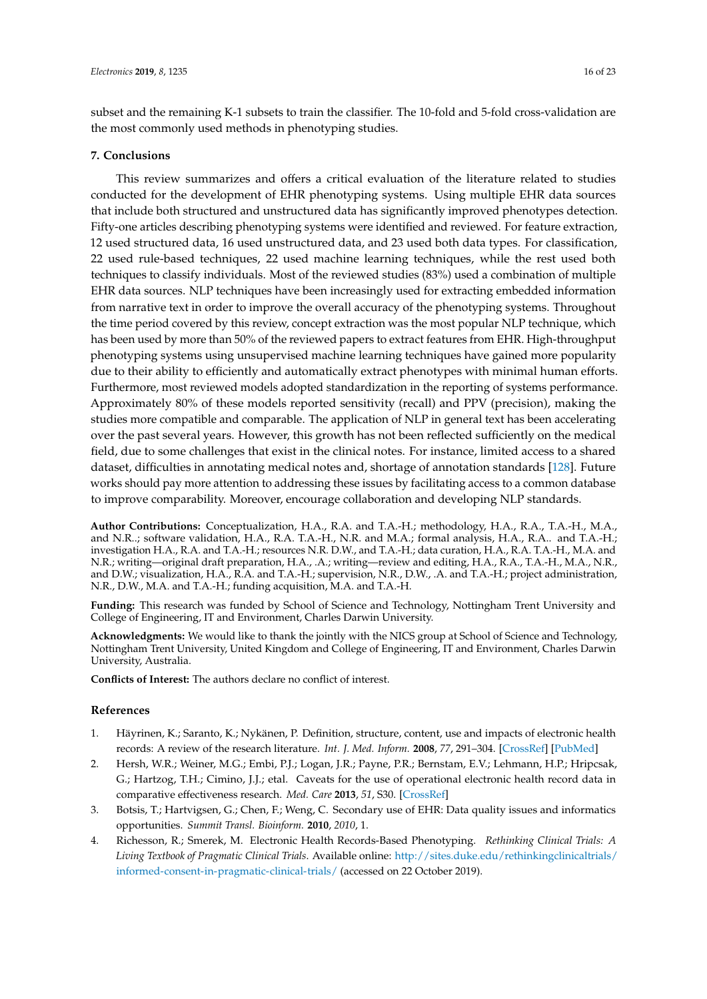subset and the remaining K-1 subsets to train the classifier. The 10-fold and 5-fold cross-validation are the most commonly used methods in phenotyping studies.

# <span id="page-15-4"></span>**7. Conclusions**

This review summarizes and offers a critical evaluation of the literature related to studies conducted for the development of EHR phenotyping systems. Using multiple EHR data sources that include both structured and unstructured data has significantly improved phenotypes detection. Fifty-one articles describing phenotyping systems were identified and reviewed. For feature extraction, 12 used structured data, 16 used unstructured data, and 23 used both data types. For classification, 22 used rule-based techniques, 22 used machine learning techniques, while the rest used both techniques to classify individuals. Most of the reviewed studies (83%) used a combination of multiple EHR data sources. NLP techniques have been increasingly used for extracting embedded information from narrative text in order to improve the overall accuracy of the phenotyping systems. Throughout the time period covered by this review, concept extraction was the most popular NLP technique, which has been used by more than 50% of the reviewed papers to extract features from EHR. High-throughput phenotyping systems using unsupervised machine learning techniques have gained more popularity due to their ability to efficiently and automatically extract phenotypes with minimal human efforts. Furthermore, most reviewed models adopted standardization in the reporting of systems performance. Approximately 80% of these models reported sensitivity (recall) and PPV (precision), making the studies more compatible and comparable. The application of NLP in general text has been accelerating over the past several years. However, this growth has not been reflected sufficiently on the medical field, due to some challenges that exist in the clinical notes. For instance, limited access to a shared dataset, difficulties in annotating medical notes and, shortage of annotation standards [\[128\]](#page-22-6). Future works should pay more attention to addressing these issues by facilitating access to a common database to improve comparability. Moreover, encourage collaboration and developing NLP standards.

**Author Contributions:** Conceptualization, H.A., R.A. and T.A.-H.; methodology, H.A., R.A., T.A.-H., M.A., and N.R..; software validation, H.A., R.A. T.A.-H., N.R. and M.A.; formal analysis, H.A., R.A.. and T.A.-H.; investigation H.A., R.A. and T.A.-H.; resources N.R. D.W., and T.A.-H.; data curation, H.A., R.A. T.A.-H., M.A. and N.R.; writing—original draft preparation, H.A., .A.; writing—review and editing, H.A., R.A., T.A.-H., M.A., N.R., and D.W.; visualization, H.A., R.A. and T.A.-H.; supervision, N.R., D.W., .A. and T.A.-H.; project administration, N.R., D.W., M.A. and T.A.-H.; funding acquisition, M.A. and T.A.-H.

**Funding:** This research was funded by School of Science and Technology, Nottingham Trent University and College of Engineering, IT and Environment, Charles Darwin University.

**Acknowledgments:** We would like to thank the jointly with the NICS group at School of Science and Technology, Nottingham Trent University, United Kingdom and College of Engineering, IT and Environment, Charles Darwin University, Australia.

**Conflicts of Interest:** The authors declare no conflict of interest.

## **References**

- <span id="page-15-0"></span>1. Häyrinen, K.; Saranto, K.; Nykänen, P. Definition, structure, content, use and impacts of electronic health records: A review of the research literature. *Int. J. Med. Inform.* **2008**, *77*, 291–304. [\[CrossRef\]](http://dx.doi.org/10.1016/j.ijmedinf.2007.09.001) [\[PubMed\]](http://www.ncbi.nlm.nih.gov/pubmed/17951106)
- <span id="page-15-1"></span>2. Hersh, W.R.; Weiner, M.G.; Embi, P.J.; Logan, J.R.; Payne, P.R.; Bernstam, E.V.; Lehmann, H.P.; Hripcsak, G.; Hartzog, T.H.; Cimino, J.J.; etal. Caveats for the use of operational electronic health record data in comparative effectiveness research. *Med. Care* **2013**, *51*, S30. [\[CrossRef\]](http://dx.doi.org/10.1097/MLR.0b013e31829b1dbd)
- <span id="page-15-2"></span>3. Botsis, T.; Hartvigsen, G.; Chen, F.; Weng, C. Secondary use of EHR: Data quality issues and informatics opportunities. *Summit Transl. Bioinform.* **2010**, *2010*, 1.
- <span id="page-15-3"></span>4. Richesson, R.; Smerek, M. Electronic Health Records-Based Phenotyping. *Rethinking Clinical Trials: A Living Textbook of Pragmatic Clinical Trials*. Available online: [http://sites.duke.edu/rethinkingclinicaltrials/](http://sites.duke.edu/rethinkingclinicaltrials/ informed-consent-in-pragmatic-clinical-trials/) [informed-consent-in-pragmatic-clinical-trials/](http://sites.duke.edu/rethinkingclinicaltrials/ informed-consent-in-pragmatic-clinical-trials/) (accessed on 22 October 2019).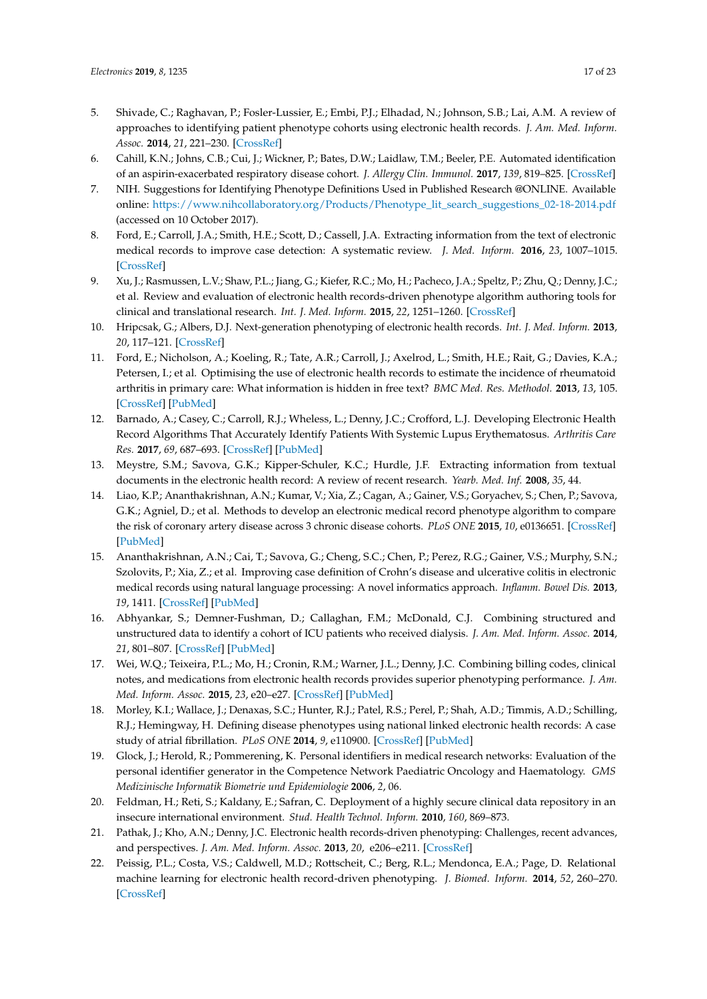- <span id="page-16-0"></span>5. Shivade, C.; Raghavan, P.; Fosler-Lussier, E.; Embi, P.J.; Elhadad, N.; Johnson, S.B.; Lai, A.M. A review of approaches to identifying patient phenotype cohorts using electronic health records. *J. Am. Med. Inform. Assoc.* **2014**, *21*, 221–230. [\[CrossRef\]](http://dx.doi.org/10.1136/amiajnl-2013-001935)
- <span id="page-16-1"></span>6. Cahill, K.N.; Johns, C.B.; Cui, J.; Wickner, P.; Bates, D.W.; Laidlaw, T.M.; Beeler, P.E. Automated identification of an aspirin-exacerbated respiratory disease cohort. *J. Allergy Clin. Immunol.* **2017**, *139*, 819–825. [\[CrossRef\]](http://dx.doi.org/10.1016/j.jaci.2016.05.048)
- <span id="page-16-2"></span>7. NIH. Suggestions for Identifying Phenotype Definitions Used in Published Research @ONLINE. Available online: [https://www.nihcollaboratory.org/Products/Phenotype\\_lit\\_search\\_suggestions\\_02-18-2014.pdf]( https://www.nihcollaboratory.org/Products/Phenotype_lit_search_suggestions_02-18-2014.pdf) (accessed on 10 October 2017).
- <span id="page-16-3"></span>8. Ford, E.; Carroll, J.A.; Smith, H.E.; Scott, D.; Cassell, J.A. Extracting information from the text of electronic medical records to improve case detection: A systematic review. *J. Med. Inform.* **2016**, *23*, 1007–1015. [\[CrossRef\]](http://dx.doi.org/10.1093/jamia/ocv180)
- <span id="page-16-4"></span>9. Xu, J.; Rasmussen, L.V.; Shaw, P.L.; Jiang, G.; Kiefer, R.C.; Mo, H.; Pacheco, J.A.; Speltz, P.; Zhu, Q.; Denny, J.C.; et al. Review and evaluation of electronic health records-driven phenotype algorithm authoring tools for clinical and translational research. *Int. J. Med. Inform.* **2015**, *22*, 1251–1260. [\[CrossRef\]](http://dx.doi.org/10.1093/jamia/ocv070)
- <span id="page-16-5"></span>10. Hripcsak, G.; Albers, D.J. Next-generation phenotyping of electronic health records. *Int. J. Med. Inform.* **2013**, *20*, 117–121. [\[CrossRef\]](http://dx.doi.org/10.1136/amiajnl-2012-001145)
- <span id="page-16-6"></span>11. Ford, E.; Nicholson, A.; Koeling, R.; Tate, A.R.; Carroll, J.; Axelrod, L.; Smith, H.E.; Rait, G.; Davies, K.A.; Petersen, I.; et al. Optimising the use of electronic health records to estimate the incidence of rheumatoid arthritis in primary care: What information is hidden in free text? *BMC Med. Res. Methodol.* **2013**, *13*, 105. [\[CrossRef\]](http://dx.doi.org/10.1186/1471-2288-13-105) [\[PubMed\]](http://www.ncbi.nlm.nih.gov/pubmed/23964710)
- <span id="page-16-7"></span>12. Barnado, A.; Casey, C.; Carroll, R.J.; Wheless, L.; Denny, J.C.; Crofford, L.J. Developing Electronic Health Record Algorithms That Accurately Identify Patients With Systemic Lupus Erythematosus. *Arthritis Care Res.* **2017**, *69*, 687–693. [\[CrossRef\]](http://dx.doi.org/10.1002/acr.22989) [\[PubMed\]](http://www.ncbi.nlm.nih.gov/pubmed/27390187)
- <span id="page-16-8"></span>13. Meystre, S.M.; Savova, G.K.; Kipper-Schuler, K.C.; Hurdle, J.F. Extracting information from textual documents in the electronic health record: A review of recent research. *Yearb. Med. Inf.* **2008**, *35*, 44.
- <span id="page-16-9"></span>14. Liao, K.P.; Ananthakrishnan, A.N.; Kumar, V.; Xia, Z.; Cagan, A.; Gainer, V.S.; Goryachev, S.; Chen, P.; Savova, G.K.; Agniel, D.; et al. Methods to develop an electronic medical record phenotype algorithm to compare the risk of coronary artery disease across 3 chronic disease cohorts. *PLoS ONE* **2015**, *10*, e0136651. [\[CrossRef\]](http://dx.doi.org/10.1371/journal.pone.0136651) [\[PubMed\]](http://www.ncbi.nlm.nih.gov/pubmed/26301417)
- <span id="page-16-16"></span>15. Ananthakrishnan, A.N.; Cai, T.; Savova, G.; Cheng, S.C.; Chen, P.; Perez, R.G.; Gainer, V.S.; Murphy, S.N.; Szolovits, P.; Xia, Z.; et al. Improving case definition of Crohn's disease and ulcerative colitis in electronic medical records using natural language processing: A novel informatics approach. *Inflamm. Bowel Dis.* **2013**, *19*, 1411. [\[CrossRef\]](http://dx.doi.org/10.1097/MIB.0b013e31828133fd) [\[PubMed\]](http://www.ncbi.nlm.nih.gov/pubmed/23567779)
- <span id="page-16-15"></span>16. Abhyankar, S.; Demner-Fushman, D.; Callaghan, F.M.; McDonald, C.J. Combining structured and unstructured data to identify a cohort of ICU patients who received dialysis. *J. Am. Med. Inform. Assoc.* **2014**, *21*, 801–807. [\[CrossRef\]](http://dx.doi.org/10.1136/amiajnl-2013-001915) [\[PubMed\]](http://www.ncbi.nlm.nih.gov/pubmed/24384230)
- <span id="page-16-17"></span>17. Wei, W.Q.; Teixeira, P.L.; Mo, H.; Cronin, R.M.; Warner, J.L.; Denny, J.C. Combining billing codes, clinical notes, and medications from electronic health records provides superior phenotyping performance. *J. Am. Med. Inform. Assoc.* **2015**, *23*, e20–e27. [\[CrossRef\]](http://dx.doi.org/10.1093/jamia/ocv130) [\[PubMed\]](http://www.ncbi.nlm.nih.gov/pubmed/26338219)
- <span id="page-16-10"></span>18. Morley, K.I.; Wallace, J.; Denaxas, S.C.; Hunter, R.J.; Patel, R.S.; Perel, P.; Shah, A.D.; Timmis, A.D.; Schilling, R.J.; Hemingway, H. Defining disease phenotypes using national linked electronic health records: A case study of atrial fibrillation. *PLoS ONE* **2014**, *9*, e110900. [\[CrossRef\]](http://dx.doi.org/10.1371/journal.pone.0110900) [\[PubMed\]](http://www.ncbi.nlm.nih.gov/pubmed/25369203)
- <span id="page-16-11"></span>19. Glock, J.; Herold, R.; Pommerening, K. Personal identifiers in medical research networks: Evaluation of the personal identifier generator in the Competence Network Paediatric Oncology and Haematology. *GMS Medizinische Informatik Biometrie und Epidemiologie* **2006**, *2*, 06.
- <span id="page-16-12"></span>20. Feldman, H.; Reti, S.; Kaldany, E.; Safran, C. Deployment of a highly secure clinical data repository in an insecure international environment. *Stud. Health Technol. Inform.* **2010**, *160*, 869–873.
- <span id="page-16-13"></span>21. Pathak, J.; Kho, A.N.; Denny, J.C. Electronic health records-driven phenotyping: Challenges, recent advances, and perspectives. *J. Am. Med. Inform. Assoc.* **2013**, *20*, e206–e211. [\[CrossRef\]](http://dx.doi.org/10.1136/amiajnl-2013-002428)
- <span id="page-16-14"></span>22. Peissig, P.L.; Costa, V.S.; Caldwell, M.D.; Rottscheit, C.; Berg, R.L.; Mendonca, E.A.; Page, D. Relational machine learning for electronic health record-driven phenotyping. *J. Biomed. Inform.* **2014**, *52*, 260–270. [\[CrossRef\]](http://dx.doi.org/10.1016/j.jbi.2014.07.007)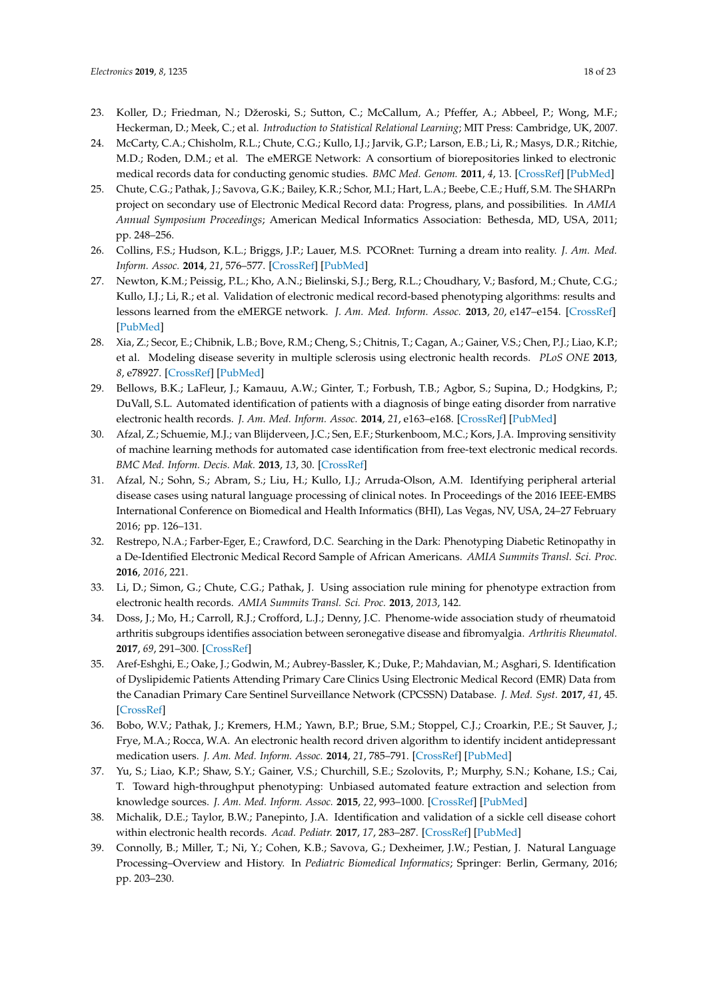- <span id="page-17-0"></span>23. Koller, D.; Friedman, N.; Džeroski, S.; Sutton, C.; McCallum, A.; Pfeffer, A.; Abbeel, P.; Wong, M.F.; Heckerman, D.; Meek, C.; et al. *Introduction to Statistical Relational Learning*; MIT Press: Cambridge, UK, 2007.
- <span id="page-17-1"></span>24. McCarty, C.A.; Chisholm, R.L.; Chute, C.G.; Kullo, I.J.; Jarvik, G.P.; Larson, E.B.; Li, R.; Masys, D.R.; Ritchie, M.D.; Roden, D.M.; et al. The eMERGE Network: A consortium of biorepositories linked to electronic medical records data for conducting genomic studies. *BMC Med. Genom.* **2011**, *4*, 13. [\[CrossRef\]](http://dx.doi.org/10.1186/1755-8794-4-13) [\[PubMed\]](http://www.ncbi.nlm.nih.gov/pubmed/21269473)
- <span id="page-17-2"></span>25. Chute, C.G.; Pathak, J.; Savova, G.K.; Bailey, K.R.; Schor, M.I.; Hart, L.A.; Beebe, C.E.; Huff, S.M. The SHARPn project on secondary use of Electronic Medical Record data: Progress, plans, and possibilities. In *AMIA Annual Symposium Proceedings*; American Medical Informatics Association: Bethesda, MD, USA, 2011; pp. 248–256.
- <span id="page-17-3"></span>26. Collins, F.S.; Hudson, K.L.; Briggs, J.P.; Lauer, M.S. PCORnet: Turning a dream into reality. *J. Am. Med. Inform. Assoc.* **2014**, *21*, 576–577. [\[CrossRef\]](http://dx.doi.org/10.1136/amiajnl-2014-002864) [\[PubMed\]](http://www.ncbi.nlm.nih.gov/pubmed/24821744)
- <span id="page-17-4"></span>27. Newton, K.M.; Peissig, P.L.; Kho, A.N.; Bielinski, S.J.; Berg, R.L.; Choudhary, V.; Basford, M.; Chute, C.G.; Kullo, I.J.; Li, R.; et al. Validation of electronic medical record-based phenotyping algorithms: results and lessons learned from the eMERGE network. *J. Am. Med. Inform. Assoc.* **2013**, *20*, e147–e154. [\[CrossRef\]](http://dx.doi.org/10.1136/amiajnl-2012-000896) [\[PubMed\]](http://www.ncbi.nlm.nih.gov/pubmed/23531748)
- <span id="page-17-5"></span>28. Xia, Z.; Secor, E.; Chibnik, L.B.; Bove, R.M.; Cheng, S.; Chitnis, T.; Cagan, A.; Gainer, V.S.; Chen, P.J.; Liao, K.P.; et al. Modeling disease severity in multiple sclerosis using electronic health records. *PLoS ONE* **2013**, *8*, e78927. [\[CrossRef\]](http://dx.doi.org/10.1371/journal.pone.0078927) [\[PubMed\]](http://www.ncbi.nlm.nih.gov/pubmed/24244385)
- <span id="page-17-6"></span>29. Bellows, B.K.; LaFleur, J.; Kamauu, A.W.; Ginter, T.; Forbush, T.B.; Agbor, S.; Supina, D.; Hodgkins, P.; DuVall, S.L. Automated identification of patients with a diagnosis of binge eating disorder from narrative electronic health records. *J. Am. Med. Inform. Assoc.* **2014**, *21*, e163–e168. [\[CrossRef\]](http://dx.doi.org/10.1136/amiajnl-2013-001859) [\[PubMed\]](http://www.ncbi.nlm.nih.gov/pubmed/24201026)
- <span id="page-17-7"></span>30. Afzal, Z.; Schuemie, M.J.; van Blijderveen, J.C.; Sen, E.F.; Sturkenboom, M.C.; Kors, J.A. Improving sensitivity of machine learning methods for automated case identification from free-text electronic medical records. *BMC Med. Inform. Decis. Mak.* **2013**, *13*, 30. [\[CrossRef\]](http://dx.doi.org/10.1186/1472-6947-13-30)
- <span id="page-17-8"></span>31. Afzal, N.; Sohn, S.; Abram, S.; Liu, H.; Kullo, I.J.; Arruda-Olson, A.M. Identifying peripheral arterial disease cases using natural language processing of clinical notes. In Proceedings of the 2016 IEEE-EMBS International Conference on Biomedical and Health Informatics (BHI), Las Vegas, NV, USA, 24–27 February 2016; pp. 126–131.
- <span id="page-17-16"></span>32. Restrepo, N.A.; Farber-Eger, E.; Crawford, D.C. Searching in the Dark: Phenotyping Diabetic Retinopathy in a De-Identified Electronic Medical Record Sample of African Americans. *AMIA Summits Transl. Sci. Proc.* **2016**, *2016*, 221.
- <span id="page-17-15"></span>33. Li, D.; Simon, G.; Chute, C.G.; Pathak, J. Using association rule mining for phenotype extraction from electronic health records. *AMIA Summits Transl. Sci. Proc.* **2013**, *2013*, 142.
- <span id="page-17-9"></span>34. Doss, J.; Mo, H.; Carroll, R.J.; Crofford, L.J.; Denny, J.C. Phenome-wide association study of rheumatoid arthritis subgroups identifies association between seronegative disease and fibromyalgia. *Arthritis Rheumatol.* **2017**, *69*, 291–300. [\[CrossRef\]](http://dx.doi.org/10.1002/art.39851)
- <span id="page-17-10"></span>35. Aref-Eshghi, E.; Oake, J.; Godwin, M.; Aubrey-Bassler, K.; Duke, P.; Mahdavian, M.; Asghari, S. Identification of Dyslipidemic Patients Attending Primary Care Clinics Using Electronic Medical Record (EMR) Data from the Canadian Primary Care Sentinel Surveillance Network (CPCSSN) Database. *J. Med. Syst.* **2017**, *41*, 45. [\[CrossRef\]](http://dx.doi.org/10.1007/s10916-017-0694-7)
- <span id="page-17-11"></span>36. Bobo, W.V.; Pathak, J.; Kremers, H.M.; Yawn, B.P.; Brue, S.M.; Stoppel, C.J.; Croarkin, P.E.; St Sauver, J.; Frye, M.A.; Rocca, W.A. An electronic health record driven algorithm to identify incident antidepressant medication users. *J. Am. Med. Inform. Assoc.* **2014**, *21*, 785–791. [\[CrossRef\]](http://dx.doi.org/10.1136/amiajnl-2014-002699) [\[PubMed\]](http://www.ncbi.nlm.nih.gov/pubmed/24780720)
- <span id="page-17-12"></span>37. Yu, S.; Liao, K.P.; Shaw, S.Y.; Gainer, V.S.; Churchill, S.E.; Szolovits, P.; Murphy, S.N.; Kohane, I.S.; Cai, T. Toward high-throughput phenotyping: Unbiased automated feature extraction and selection from knowledge sources. *J. Am. Med. Inform. Assoc.* **2015**, *22*, 993–1000. [\[CrossRef\]](http://dx.doi.org/10.1093/jamia/ocv034) [\[PubMed\]](http://www.ncbi.nlm.nih.gov/pubmed/25929596)
- <span id="page-17-13"></span>38. Michalik, D.E.; Taylor, B.W.; Panepinto, J.A. Identification and validation of a sickle cell disease cohort within electronic health records. *Acad. Pediatr.* **2017**, *17*, 283–287. [\[CrossRef\]](http://dx.doi.org/10.1016/j.acap.2016.12.005) [\[PubMed\]](http://www.ncbi.nlm.nih.gov/pubmed/27979750)
- <span id="page-17-14"></span>39. Connolly, B.; Miller, T.; Ni, Y.; Cohen, K.B.; Savova, G.; Dexheimer, J.W.; Pestian, J. Natural Language Processing–Overview and History. In *Pediatric Biomedical Informatics*; Springer: Berlin, Germany, 2016; pp. 203–230.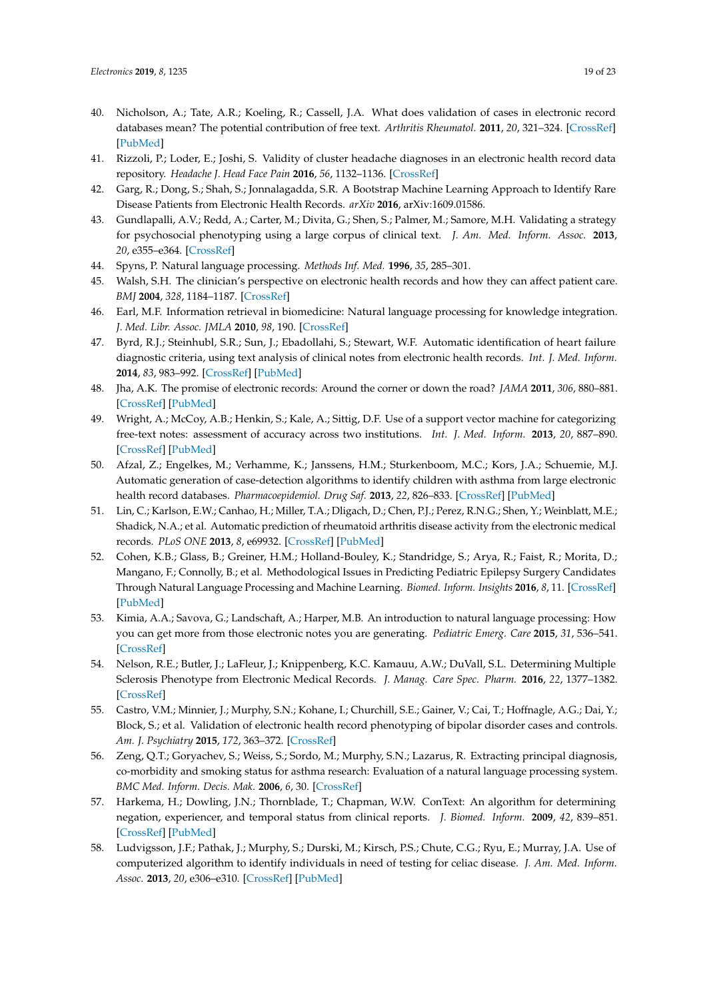- <span id="page-18-0"></span>40. Nicholson, A.; Tate, A.R.; Koeling, R.; Cassell, J.A. What does validation of cases in electronic record databases mean? The potential contribution of free text. *Arthritis Rheumatol.* **2011**, *20*, 321–324. [\[CrossRef\]](http://dx.doi.org/10.1002/pds.2086) [\[PubMed\]](http://www.ncbi.nlm.nih.gov/pubmed/21351316)
- <span id="page-18-1"></span>41. Rizzoli, P.; Loder, E.; Joshi, S. Validity of cluster headache diagnoses in an electronic health record data repository. *Headache J. Head Face Pain* **2016**, *56*, 1132–1136. [\[CrossRef\]](http://dx.doi.org/10.1111/head.12850)
- <span id="page-18-2"></span>42. Garg, R.; Dong, S.; Shah, S.; Jonnalagadda, S.R. A Bootstrap Machine Learning Approach to Identify Rare Disease Patients from Electronic Health Records. *arXiv* **2016**, arXiv:1609.01586.
- <span id="page-18-3"></span>43. Gundlapalli, A.V.; Redd, A.; Carter, M.; Divita, G.; Shen, S.; Palmer, M.; Samore, M.H. Validating a strategy for psychosocial phenotyping using a large corpus of clinical text. *J. Am. Med. Inform. Assoc.* **2013**, *20*, e355–e364. [\[CrossRef\]](http://dx.doi.org/10.1136/amiajnl-2013-001946)
- <span id="page-18-4"></span>44. Spyns, P. Natural language processing. *Methods Inf. Med.* **1996**, *35*, 285–301.
- <span id="page-18-5"></span>45. Walsh, S.H. The clinician's perspective on electronic health records and how they can affect patient care. *BMJ* **2004**, *328*, 1184–1187. [\[CrossRef\]](http://dx.doi.org/10.1136/bmj.328.7449.1184)
- <span id="page-18-6"></span>46. Earl, M.F. Information retrieval in biomedicine: Natural language processing for knowledge integration. *J. Med. Libr. Assoc. JMLA* **2010**, *98*, 190. [\[CrossRef\]](http://dx.doi.org/10.3163/1536-5050.98.2.020)
- <span id="page-18-7"></span>47. Byrd, R.J.; Steinhubl, S.R.; Sun, J.; Ebadollahi, S.; Stewart, W.F. Automatic identification of heart failure diagnostic criteria, using text analysis of clinical notes from electronic health records. *Int. J. Med. Inform.* **2014**, *83*, 983–992. [\[CrossRef\]](http://dx.doi.org/10.1016/j.ijmedinf.2012.12.005) [\[PubMed\]](http://www.ncbi.nlm.nih.gov/pubmed/23317809)
- <span id="page-18-8"></span>48. Jha, A.K. The promise of electronic records: Around the corner or down the road? *JAMA* **2011**, *306*, 880–881. [\[CrossRef\]](http://dx.doi.org/10.1001/jama.2011.1219) [\[PubMed\]](http://www.ncbi.nlm.nih.gov/pubmed/21862751)
- <span id="page-18-9"></span>49. Wright, A.; McCoy, A.B.; Henkin, S.; Kale, A.; Sittig, D.F. Use of a support vector machine for categorizing free-text notes: assessment of accuracy across two institutions. *Int. J. Med. Inform.* **2013**, *20*, 887–890. [\[CrossRef\]](http://dx.doi.org/10.1136/amiajnl-2012-001576) [\[PubMed\]](http://www.ncbi.nlm.nih.gov/pubmed/23543111)
- <span id="page-18-11"></span>50. Afzal, Z.; Engelkes, M.; Verhamme, K.; Janssens, H.M.; Sturkenboom, M.C.; Kors, J.A.; Schuemie, M.J. Automatic generation of case-detection algorithms to identify children with asthma from large electronic health record databases. *Pharmacoepidemiol. Drug Saf.* **2013**, *22*, 826–833. [\[CrossRef\]](http://dx.doi.org/10.1002/pds.3438) [\[PubMed\]](http://www.ncbi.nlm.nih.gov/pubmed/23592573)
- <span id="page-18-10"></span>51. Lin, C.; Karlson, E.W.; Canhao, H.; Miller, T.A.; Dligach, D.; Chen, P.J.; Perez, R.N.G.; Shen, Y.; Weinblatt, M.E.; Shadick, N.A.; et al. Automatic prediction of rheumatoid arthritis disease activity from the electronic medical records. *PLoS ONE* **2013**, *8*, e69932. [\[CrossRef\]](http://dx.doi.org/10.1371/journal.pone.0069932) [\[PubMed\]](http://www.ncbi.nlm.nih.gov/pubmed/23976944)
- <span id="page-18-12"></span>52. Cohen, K.B.; Glass, B.; Greiner, H.M.; Holland-Bouley, K.; Standridge, S.; Arya, R.; Faist, R.; Morita, D.; Mangano, F.; Connolly, B.; et al. Methodological Issues in Predicting Pediatric Epilepsy Surgery Candidates Through Natural Language Processing and Machine Learning. *Biomed. Inform. Insights* **2016**, *8*, 11. [\[CrossRef\]](http://dx.doi.org/10.4137/BII.S38308) [\[PubMed\]](http://www.ncbi.nlm.nih.gov/pubmed/27257386)
- <span id="page-18-13"></span>53. Kimia, A.A.; Savova, G.; Landschaft, A.; Harper, M.B. An introduction to natural language processing: How you can get more from those electronic notes you are generating. *Pediatric Emerg. Care* **2015**, *31*, 536–541. [\[CrossRef\]](http://dx.doi.org/10.1097/PEC.0000000000000484)
- <span id="page-18-14"></span>54. Nelson, R.E.; Butler, J.; LaFleur, J.; Knippenberg, K.C. Kamauu, A.W.; DuVall, S.L. Determining Multiple Sclerosis Phenotype from Electronic Medical Records. *J. Manag. Care Spec. Pharm.* **2016**, *22*, 1377–1382. [\[CrossRef\]](http://dx.doi.org/10.18553/jmcp.2016.22.12.1377)
- <span id="page-18-15"></span>55. Castro, V.M.; Minnier, J.; Murphy, S.N.; Kohane, I.; Churchill, S.E.; Gainer, V.; Cai, T.; Hoffnagle, A.G.; Dai, Y.; Block, S.; et al. Validation of electronic health record phenotyping of bipolar disorder cases and controls. *Am. J. Psychiatry* **2015**, *172*, 363–372. [\[CrossRef\]](http://dx.doi.org/10.1176/appi.ajp.2014.14030423)
- <span id="page-18-16"></span>56. Zeng, Q.T.; Goryachev, S.; Weiss, S.; Sordo, M.; Murphy, S.N.; Lazarus, R. Extracting principal diagnosis, co-morbidity and smoking status for asthma research: Evaluation of a natural language processing system. *BMC Med. Inform. Decis. Mak.* **2006**, *6*, 30. [\[CrossRef\]](http://dx.doi.org/10.1186/1472-6947-6-30)
- <span id="page-18-17"></span>57. Harkema, H.; Dowling, J.N.; Thornblade, T.; Chapman, W.W. ConText: An algorithm for determining negation, experiencer, and temporal status from clinical reports. *J. Biomed. Inform.* **2009**, *42*, 839–851. [\[CrossRef\]](http://dx.doi.org/10.1016/j.jbi.2009.05.002) [\[PubMed\]](http://www.ncbi.nlm.nih.gov/pubmed/19435614)
- <span id="page-18-18"></span>58. Ludvigsson, J.F.; Pathak, J.; Murphy, S.; Durski, M.; Kirsch, P.S.; Chute, C.G.; Ryu, E.; Murray, J.A. Use of computerized algorithm to identify individuals in need of testing for celiac disease. *J. Am. Med. Inform. Assoc.* **2013**, *20*, e306–e310. [\[CrossRef\]](http://dx.doi.org/10.1136/amiajnl-2013-001924) [\[PubMed\]](http://www.ncbi.nlm.nih.gov/pubmed/23956016)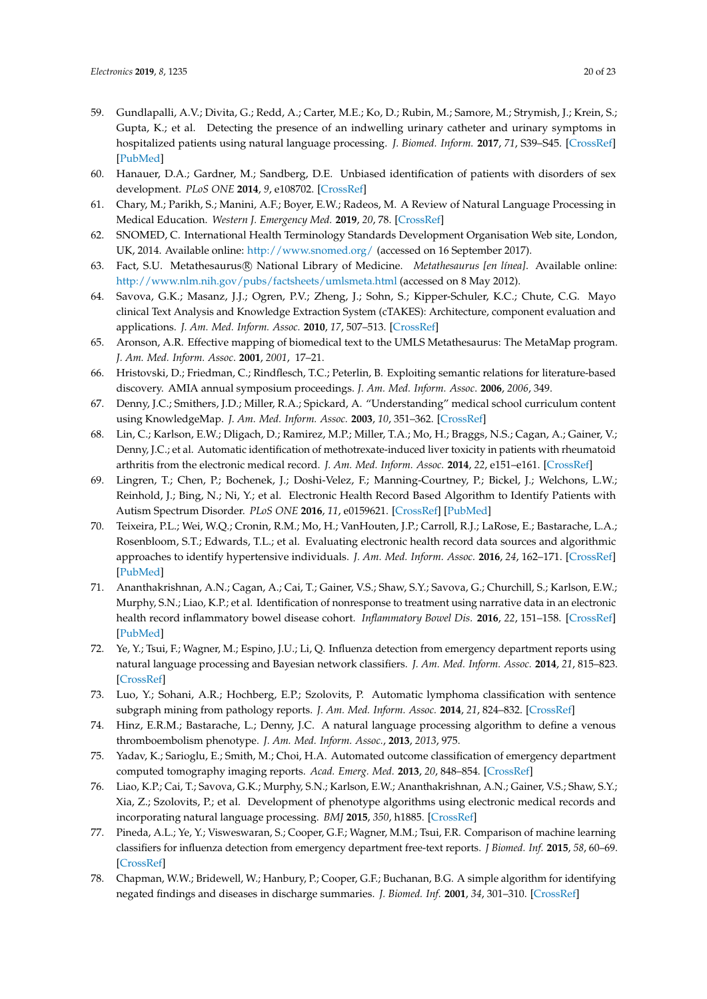- <span id="page-19-0"></span>59. Gundlapalli, A.V.; Divita, G.; Redd, A.; Carter, M.E.; Ko, D.; Rubin, M.; Samore, M.; Strymish, J.; Krein, S.; Gupta, K.; et al. Detecting the presence of an indwelling urinary catheter and urinary symptoms in hospitalized patients using natural language processing. *J. Biomed. Inform.* **2017**, *71*, S39–S45. [\[CrossRef\]](http://dx.doi.org/10.1016/j.jbi.2016.07.012) [\[PubMed\]](http://www.ncbi.nlm.nih.gov/pubmed/27404849)
- <span id="page-19-1"></span>60. Hanauer, D.A.; Gardner, M.; Sandberg, D.E. Unbiased identification of patients with disorders of sex development. *PLoS ONE* **2014**, *9*, e108702. [\[CrossRef\]](http://dx.doi.org/10.1371/journal.pone.0108702)
- <span id="page-19-2"></span>61. Chary, M.; Parikh, S.; Manini, A.F.; Boyer, E.W.; Radeos, M. A Review of Natural Language Processing in Medical Education. *Western J. Emergency Med.* **2019**, *20*, 78. [\[CrossRef\]](http://dx.doi.org/10.5811/westjem.2018.11.39725)
- <span id="page-19-3"></span>62. SNOMED, C. International Health Terminology Standards Development Organisation Web site, London, UK, 2014. Available online: <http://www.snomed.org/> (accessed on 16 September 2017).
- <span id="page-19-4"></span>63. Fact, S.U. Metathesaurus R National Library of Medicine. *Metathesaurus [en línea]*. Available online: [http://www.nlm.nih.gov/pubs/factsheets/umlsmeta.html](http://www. nlm. nih. gov/pubs/factsheets/umlsmeta. html) (accessed on 8 May 2012).
- <span id="page-19-5"></span>64. Savova, G.K.; Masanz, J.J.; Ogren, P.V.; Zheng, J.; Sohn, S.; Kipper-Schuler, K.C.; Chute, C.G. Mayo clinical Text Analysis and Knowledge Extraction System (cTAKES): Architecture, component evaluation and applications. *J. Am. Med. Inform. Assoc.* **2010**, *17*, 507–513. [\[CrossRef\]](http://dx.doi.org/10.1136/jamia.2009.001560)
- <span id="page-19-6"></span>65. Aronson, A.R. Effective mapping of biomedical text to the UMLS Metathesaurus: The MetaMap program. *J. Am. Med. Inform. Assoc*. **2001**, *2001*, 17–21.
- <span id="page-19-7"></span>66. Hristovski, D.; Friedman, C.; Rindflesch, T.C.; Peterlin, B. Exploiting semantic relations for literature-based discovery. AMIA annual symposium proceedings. *J. Am. Med. Inform. Assoc*. **2006**, *2006*, 349.
- <span id="page-19-8"></span>67. Denny, J.C.; Smithers, J.D.; Miller, R.A.; Spickard, A. "Understanding" medical school curriculum content using KnowledgeMap. *J. Am. Med. Inform. Assoc.* **2003**, *10*, 351–362. [\[CrossRef\]](http://dx.doi.org/10.1197/jamia.M1176)
- <span id="page-19-9"></span>68. Lin, C.; Karlson, E.W.; Dligach, D.; Ramirez, M.P.; Miller, T.A.; Mo, H.; Braggs, N.S.; Cagan, A.; Gainer, V.; Denny, J.C.; et al. Automatic identification of methotrexate-induced liver toxicity in patients with rheumatoid arthritis from the electronic medical record. *J. Am. Med. Inform. Assoc.* **2014**, *22*, e151–e161. [\[CrossRef\]](http://dx.doi.org/10.1136/amiajnl-2014-002642)
- <span id="page-19-10"></span>69. Lingren, T.; Chen, P.; Bochenek, J.; Doshi-Velez, F.; Manning-Courtney, P.; Bickel, J.; Welchons, L.W.; Reinhold, J.; Bing, N.; Ni, Y.; et al. Electronic Health Record Based Algorithm to Identify Patients with Autism Spectrum Disorder. *PLoS ONE* **2016**, *11*, e0159621. [\[CrossRef\]](http://dx.doi.org/10.1371/journal.pone.0159621) [\[PubMed\]](http://www.ncbi.nlm.nih.gov/pubmed/27472449)
- <span id="page-19-11"></span>70. Teixeira, P.L.; Wei, W.Q.; Cronin, R.M.; Mo, H.; VanHouten, J.P.; Carroll, R.J.; LaRose, E.; Bastarache, L.A.; Rosenbloom, S.T.; Edwards, T.L.; et al. Evaluating electronic health record data sources and algorithmic approaches to identify hypertensive individuals. *J. Am. Med. Inform. Assoc.* **2016**, *24*, 162–171. [\[CrossRef\]](http://dx.doi.org/10.1093/jamia/ocw071) [\[PubMed\]](http://www.ncbi.nlm.nih.gov/pubmed/27497800)
- <span id="page-19-12"></span>71. Ananthakrishnan, A.N.; Cagan, A.; Cai, T.; Gainer, V.S.; Shaw, S.Y.; Savova, G.; Churchill, S.; Karlson, E.W.; Murphy, S.N.; Liao, K.P.; et al. Identification of nonresponse to treatment using narrative data in an electronic health record inflammatory bowel disease cohort. *Inflammatory Bowel Dis.* **2016**, *22*, 151–158. [\[CrossRef\]](http://dx.doi.org/10.1097/MIB.0000000000000580) [\[PubMed\]](http://www.ncbi.nlm.nih.gov/pubmed/26332313)
- <span id="page-19-13"></span>72. Ye, Y.; Tsui, F.; Wagner, M.; Espino, J.U.; Li, Q. Influenza detection from emergency department reports using natural language processing and Bayesian network classifiers. *J. Am. Med. Inform. Assoc.* **2014**, *21*, 815–823. [\[CrossRef\]](http://dx.doi.org/10.1136/amiajnl-2013-001934)
- <span id="page-19-14"></span>73. Luo, Y.; Sohani, A.R.; Hochberg, E.P.; Szolovits, P. Automatic lymphoma classification with sentence subgraph mining from pathology reports. *J. Am. Med. Inform. Assoc.* **2014**, *21*, 824–832. [\[CrossRef\]](http://dx.doi.org/10.1136/amiajnl-2013-002443)
- <span id="page-19-15"></span>74. Hinz, E.R.M.; Bastarache, L.; Denny, J.C. A natural language processing algorithm to define a venous thromboembolism phenotype. *J. Am. Med. Inform. Assoc.*, **2013**, *2013*, 975.
- <span id="page-19-16"></span>75. Yadav, K.; Sarioglu, E.; Smith, M.; Choi, H.A. Automated outcome classification of emergency department computed tomography imaging reports. *Acad. Emerg. Med.* **2013**, *20*, 848–854. [\[CrossRef\]](http://dx.doi.org/10.1111/acem.12174)
- <span id="page-19-17"></span>76. Liao, K.P.; Cai, T.; Savova, G.K.; Murphy, S.N.; Karlson, E.W.; Ananthakrishnan, A.N.; Gainer, V.S.; Shaw, S.Y.; Xia, Z.; Szolovits, P.; et al. Development of phenotype algorithms using electronic medical records and incorporating natural language processing. *BMJ* **2015**, *350*, h1885. [\[CrossRef\]](http://dx.doi.org/10.1136/bmj.h1885)
- <span id="page-19-18"></span>77. Pineda, A.L.; Ye, Y.; Visweswaran, S.; Cooper, G.F.; Wagner, M.M.; Tsui, F.R. Comparison of machine learning classifiers for influenza detection from emergency department free-text reports. *J Biomed. Inf.* **2015**, *58*, 60–69. [\[CrossRef\]](http://dx.doi.org/10.1016/j.jbi.2015.08.019)
- <span id="page-19-19"></span>78. Chapman, W.W.; Bridewell, W.; Hanbury, P.; Cooper, G.F.; Buchanan, B.G. A simple algorithm for identifying negated findings and diseases in discharge summaries. *J. Biomed. Inf.* **2001**, *34*, 301–310. [\[CrossRef\]](http://dx.doi.org/10.1006/jbin.2001.1029)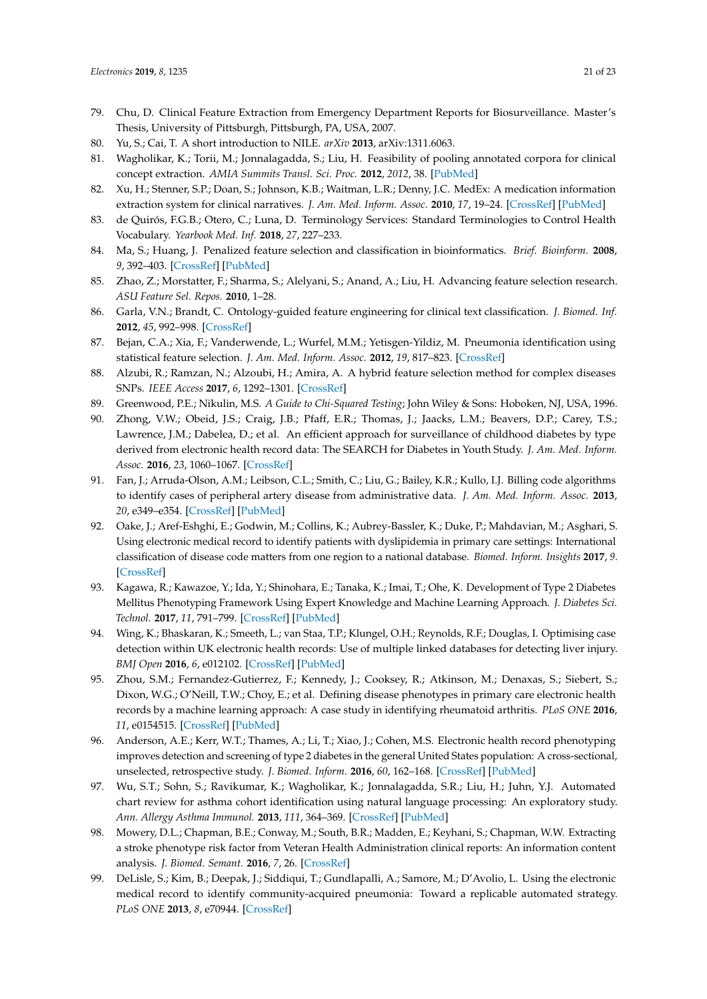- <span id="page-20-0"></span>79. Chu, D. Clinical Feature Extraction from Emergency Department Reports for Biosurveillance. Master's Thesis, University of Pittsburgh, Pittsburgh, PA, USA, 2007.
- <span id="page-20-1"></span>80. Yu, S.; Cai, T. A short introduction to NILE. *arXiv* **2013**, arXiv:1311.6063.
- <span id="page-20-2"></span>81. Wagholikar, K.; Torii, M.; Jonnalagadda, S.; Liu, H. Feasibility of pooling annotated corpora for clinical concept extraction. *AMIA Summits Transl. Sci. Proc.* **2012**, *2012*, 38. [\[PubMed\]](http://www.ncbi.nlm.nih.gov/pubmed/22779047)
- <span id="page-20-3"></span>82. Xu, H.; Stenner, S.P.; Doan, S.; Johnson, K.B.; Waitman, L.R.; Denny, J.C. MedEx: A medication information extraction system for clinical narratives. *J. Am. Med. Inform. Assoc.* **2010**, *17*, 19–24. [\[CrossRef\]](http://dx.doi.org/10.1197/jamia.M3378) [\[PubMed\]](http://www.ncbi.nlm.nih.gov/pubmed/20064797)
- <span id="page-20-4"></span>83. de Quirós, F.G.B.; Otero, C.; Luna, D. Terminology Services: Standard Terminologies to Control Health Vocabulary. *Yearbook Med. Inf.* **2018**, *27*, 227–233.
- <span id="page-20-5"></span>84. Ma, S.; Huang, J. Penalized feature selection and classification in bioinformatics. *Brief. Bioinform.* **2008**, *9*, 392–403. [\[CrossRef\]](http://dx.doi.org/10.1093/bib/bbn027) [\[PubMed\]](http://www.ncbi.nlm.nih.gov/pubmed/18562478)
- 85. Zhao, Z.; Morstatter, F.; Sharma, S.; Alelyani, S.; Anand, A.; Liu, H. Advancing feature selection research. *ASU Feature Sel. Repos.* **2010**, 1–28.
- 86. Garla, V.N.; Brandt, C. Ontology-guided feature engineering for clinical text classification. *J. Biomed. Inf.* **2012**, *45*, 992–998. [\[CrossRef\]](http://dx.doi.org/10.1016/j.jbi.2012.04.010)
- 87. Bejan, C.A.; Xia, F.; Vanderwende, L.; Wurfel, M.M.; Yetisgen-Yildiz, M. Pneumonia identification using statistical feature selection. *J. Am. Med. Inform. Assoc.* **2012**, *19*, 817–823. [\[CrossRef\]](http://dx.doi.org/10.1136/amiajnl-2011-000752)
- <span id="page-20-6"></span>88. Alzubi, R.; Ramzan, N.; Alzoubi, H.; Amira, A. A hybrid feature selection method for complex diseases SNPs. *IEEE Access* **2017**, *6*, 1292–1301. [\[CrossRef\]](http://dx.doi.org/10.1109/ACCESS.2017.2778268)
- <span id="page-20-7"></span>89. Greenwood, P.E.; Nikulin, M.S. *A Guide to Chi-Squared Testing*; John Wiley & Sons: Hoboken, NJ, USA, 1996.
- <span id="page-20-8"></span>90. Zhong, V.W.; Obeid, J.S.; Craig, J.B.; Pfaff, E.R.; Thomas, J.; Jaacks, L.M.; Beavers, D.P.; Carey, T.S.; Lawrence, J.M.; Dabelea, D.; et al. An efficient approach for surveillance of childhood diabetes by type derived from electronic health record data: The SEARCH for Diabetes in Youth Study. *J. Am. Med. Inform. Assoc.* **2016**, *23*, 1060–1067. [\[CrossRef\]](http://dx.doi.org/10.1093/jamia/ocv207)
- <span id="page-20-17"></span>91. Fan, J.; Arruda-Olson, A.M.; Leibson, C.L.; Smith, C.; Liu, G.; Bailey, K.R.; Kullo, I.J. Billing code algorithms to identify cases of peripheral artery disease from administrative data. *J. Am. Med. Inform. Assoc.* **2013**, *20*, e349–e354. [\[CrossRef\]](http://dx.doi.org/10.1136/amiajnl-2013-001827) [\[PubMed\]](http://www.ncbi.nlm.nih.gov/pubmed/24166724)
- <span id="page-20-14"></span>92. Oake, J.; Aref-Eshghi, E.; Godwin, M.; Collins, K.; Aubrey-Bassler, K.; Duke, P.; Mahdavian, M.; Asghari, S. Using electronic medical record to identify patients with dyslipidemia in primary care settings: International classification of disease code matters from one region to a national database. *Biomed. Inform. Insights* **2017**, *9*. [\[CrossRef\]](http://dx.doi.org/10.1177/1178222616685880)
- <span id="page-20-13"></span>93. Kagawa, R.; Kawazoe, Y.; Ida, Y.; Shinohara, E.; Tanaka, K.; Imai, T.; Ohe, K. Development of Type 2 Diabetes Mellitus Phenotyping Framework Using Expert Knowledge and Machine Learning Approach. *J. Diabetes Sci. Technol.* **2017**, *11*, 791–799. [\[CrossRef\]](http://dx.doi.org/10.1177/1932296816681584) [\[PubMed\]](http://www.ncbi.nlm.nih.gov/pubmed/27932531)
- <span id="page-20-15"></span>94. Wing, K.; Bhaskaran, K.; Smeeth, L.; van Staa, T.P.; Klungel, O.H.; Reynolds, R.F.; Douglas, I. Optimising case detection within UK electronic health records: Use of multiple linked databases for detecting liver injury. *BMJ Open* **2016**, *6*, e012102. [\[CrossRef\]](http://dx.doi.org/10.1136/bmjopen-2016-012102) [\[PubMed\]](http://www.ncbi.nlm.nih.gov/pubmed/27591023)
- <span id="page-20-16"></span>95. Zhou, S.M.; Fernandez-Gutierrez, F.; Kennedy, J.; Cooksey, R.; Atkinson, M.; Denaxas, S.; Siebert, S.; Dixon, W.G.; O'Neill, T.W.; Choy, E.; et al. Defining disease phenotypes in primary care electronic health records by a machine learning approach: A case study in identifying rheumatoid arthritis. *PLoS ONE* **2016**, *11*, e0154515. [\[CrossRef\]](http://dx.doi.org/10.1371/journal.pone.0154515) [\[PubMed\]](http://www.ncbi.nlm.nih.gov/pubmed/27135409)
- <span id="page-20-9"></span>96. Anderson, A.E.; Kerr, W.T.; Thames, A.; Li, T.; Xiao, J.; Cohen, M.S. Electronic health record phenotyping improves detection and screening of type 2 diabetes in the general United States population: A cross-sectional, unselected, retrospective study. *J. Biomed. Inform.* **2016**, *60*, 162–168. [\[CrossRef\]](http://dx.doi.org/10.1016/j.jbi.2015.12.006) [\[PubMed\]](http://www.ncbi.nlm.nih.gov/pubmed/26707455)
- <span id="page-20-10"></span>97. Wu, S.T.; Sohn, S.; Ravikumar, K.; Wagholikar, K.; Jonnalagadda, S.R.; Liu, H.; Juhn, Y.J. Automated chart review for asthma cohort identification using natural language processing: An exploratory study. *Ann. Allergy Asthma Immunol.* **2013**, *111*, 364–369. [\[CrossRef\]](http://dx.doi.org/10.1016/j.anai.2013.07.022) [\[PubMed\]](http://www.ncbi.nlm.nih.gov/pubmed/24125142)
- <span id="page-20-11"></span>98. Mowery, D.L.; Chapman, B.E.; Conway, M.; South, B.R.; Madden, E.; Keyhani, S.; Chapman, W.W. Extracting a stroke phenotype risk factor from Veteran Health Administration clinical reports: An information content analysis. *J. Biomed. Semant.* **2016**, *7*, 26. [\[CrossRef\]](http://dx.doi.org/10.1186/s13326-016-0065-1)
- <span id="page-20-12"></span>99. DeLisle, S.; Kim, B.; Deepak, J.; Siddiqui, T.; Gundlapalli, A.; Samore, M.; D'Avolio, L. Using the electronic medical record to identify community-acquired pneumonia: Toward a replicable automated strategy. *PLoS ONE* **2013**, *8*, e70944. [\[CrossRef\]](http://dx.doi.org/10.1371/journal.pone.0070944)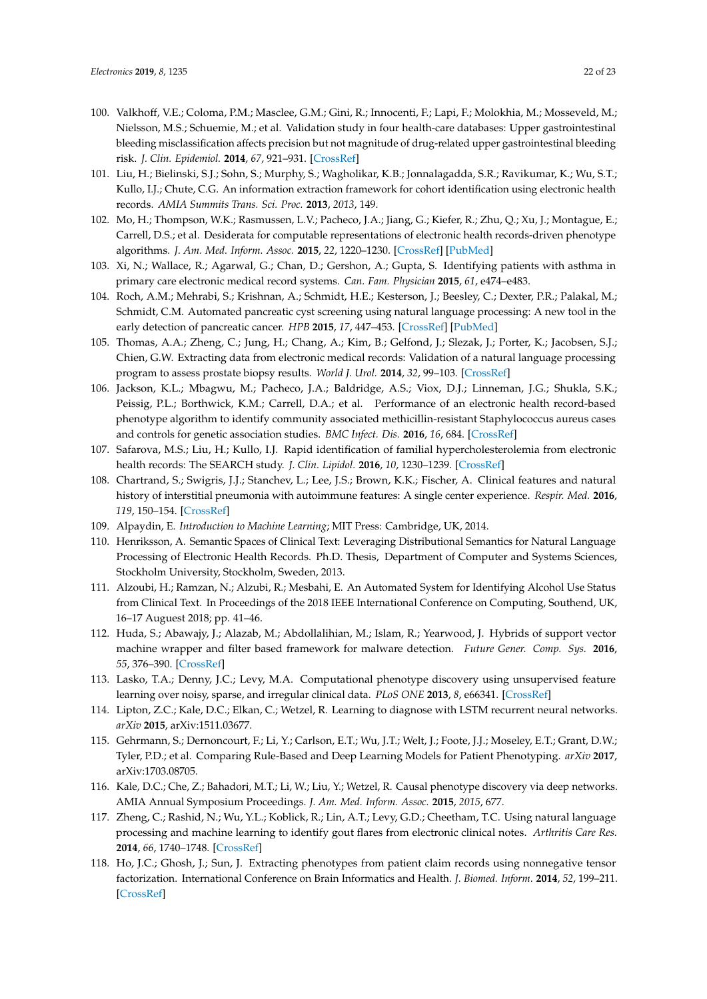- <span id="page-21-0"></span>100. Valkhoff, V.E.; Coloma, P.M.; Masclee, G.M.; Gini, R.; Innocenti, F.; Lapi, F.; Molokhia, M.; Mosseveld, M.; Nielsson, M.S.; Schuemie, M.; et al. Validation study in four health-care databases: Upper gastrointestinal bleeding misclassification affects precision but not magnitude of drug-related upper gastrointestinal bleeding risk. *J. Clin. Epidemiol.* **2014**, *67*, 921–931. [\[CrossRef\]](http://dx.doi.org/10.1016/j.jclinepi.2014.02.020)
- <span id="page-21-1"></span>101. Liu, H.; Bielinski, S.J.; Sohn, S.; Murphy, S.; Wagholikar, K.B.; Jonnalagadda, S.R.; Ravikumar, K.; Wu, S.T.; Kullo, I.J.; Chute, C.G. An information extraction framework for cohort identification using electronic health records. *AMIA Summits Trans. Sci. Proc.* **2013**, *2013*, 149.
- <span id="page-21-2"></span>102. Mo, H.; Thompson, W.K.; Rasmussen, L.V.; Pacheco, J.A.; Jiang, G.; Kiefer, R.; Zhu, Q.; Xu, J.; Montague, E.; Carrell, D.S.; et al. Desiderata for computable representations of electronic health records-driven phenotype algorithms. *J. Am. Med. Inform. Assoc.* **2015**, *22*, 1220–1230. [\[CrossRef\]](http://dx.doi.org/10.1093/jamia/ocv112) [\[PubMed\]](http://www.ncbi.nlm.nih.gov/pubmed/26342218)
- <span id="page-21-3"></span>103. Xi, N.; Wallace, R.; Agarwal, G.; Chan, D.; Gershon, A.; Gupta, S. Identifying patients with asthma in primary care electronic medical record systems. *Can. Fam. Physician* **2015**, *61*, e474–e483.
- <span id="page-21-4"></span>104. Roch, A.M.; Mehrabi, S.; Krishnan, A.; Schmidt, H.E.; Kesterson, J.; Beesley, C.; Dexter, P.R.; Palakal, M.; Schmidt, C.M. Automated pancreatic cyst screening using natural language processing: A new tool in the early detection of pancreatic cancer. *HPB* **2015**, *17*, 447–453. [\[CrossRef\]](http://dx.doi.org/10.1111/hpb.12375) [\[PubMed\]](http://www.ncbi.nlm.nih.gov/pubmed/25537257)
- <span id="page-21-5"></span>105. Thomas, A.A.; Zheng, C.; Jung, H.; Chang, A.; Kim, B.; Gelfond, J.; Slezak, J.; Porter, K.; Jacobsen, S.J.; Chien, G.W. Extracting data from electronic medical records: Validation of a natural language processing program to assess prostate biopsy results. *World J. Urol.* **2014**, *32*, 99–103. [\[CrossRef\]](http://dx.doi.org/10.1007/s00345-013-1040-4)
- <span id="page-21-6"></span>106. Jackson, K.L.; Mbagwu, M.; Pacheco, J.A.; Baldridge, A.S.; Viox, D.J.; Linneman, J.G.; Shukla, S.K.; Peissig, P.L.; Borthwick, K.M.; Carrell, D.A.; et al. Performance of an electronic health record-based phenotype algorithm to identify community associated methicillin-resistant Staphylococcus aureus cases and controls for genetic association studies. *BMC Infect. Dis.* **2016**, *16*, 684. [\[CrossRef\]](http://dx.doi.org/10.1186/s12879-016-2020-2)
- <span id="page-21-7"></span>107. Safarova, M.S.; Liu, H.; Kullo, I.J. Rapid identification of familial hypercholesterolemia from electronic health records: The SEARCH study. *J. Clin. Lipidol.* **2016**, *10*, 1230–1239. [\[CrossRef\]](http://dx.doi.org/10.1016/j.jacl.2016.08.001)
- <span id="page-21-8"></span>108. Chartrand, S.; Swigris, J.J.; Stanchev, L.; Lee, J.S.; Brown, K.K.; Fischer, A. Clinical features and natural history of interstitial pneumonia with autoimmune features: A single center experience. *Respir. Med.* **2016**, *119*, 150–154. [\[CrossRef\]](http://dx.doi.org/10.1016/j.rmed.2016.09.002)
- <span id="page-21-9"></span>109. Alpaydin, E. *Introduction to Machine Learning*; MIT Press: Cambridge, UK, 2014.
- <span id="page-21-10"></span>110. Henriksson, A. Semantic Spaces of Clinical Text: Leveraging Distributional Semantics for Natural Language Processing of Electronic Health Records. Ph.D. Thesis, Department of Computer and Systems Sciences, Stockholm University, Stockholm, Sweden, 2013.
- <span id="page-21-11"></span>111. Alzoubi, H.; Ramzan, N.; Alzubi, R.; Mesbahi, E. An Automated System for Identifying Alcohol Use Status from Clinical Text. In Proceedings of the 2018 IEEE International Conference on Computing, Southend, UK, 16–17 Auguest 2018; pp. 41–46.
- <span id="page-21-12"></span>112. Huda, S.; Abawajy, J.; Alazab, M.; Abdollalihian, M.; Islam, R.; Yearwood, J. Hybrids of support vector machine wrapper and filter based framework for malware detection. *Future Gener. Comp. Sys.* **2016**, *55*, 376–390. [\[CrossRef\]](http://dx.doi.org/10.1016/j.future.2014.06.001)
- <span id="page-21-13"></span>113. Lasko, T.A.; Denny, J.C.; Levy, M.A. Computational phenotype discovery using unsupervised feature learning over noisy, sparse, and irregular clinical data. *PLoS ONE* **2013**, *8*, e66341. [\[CrossRef\]](http://dx.doi.org/10.1371/annotation/0c88e0d5-dade-4376-8ee1-49ed4ff238e2)
- <span id="page-21-14"></span>114. Lipton, Z.C.; Kale, D.C.; Elkan, C.; Wetzel, R. Learning to diagnose with LSTM recurrent neural networks. *arXiv* **2015**, arXiv:1511.03677.
- <span id="page-21-15"></span>115. Gehrmann, S.; Dernoncourt, F.; Li, Y.; Carlson, E.T.; Wu, J.T.; Welt, J.; Foote, J.J.; Moseley, E.T.; Grant, D.W.; Tyler, P.D.; et al. Comparing Rule-Based and Deep Learning Models for Patient Phenotyping. *arXiv* **2017**, arXiv:1703.08705.
- <span id="page-21-16"></span>116. Kale, D.C.; Che, Z.; Bahadori, M.T.; Li, W.; Liu, Y.; Wetzel, R. Causal phenotype discovery via deep networks. AMIA Annual Symposium Proceedings. *J. Am. Med. Inform. Assoc.* **2015**, *2015*, 677.
- <span id="page-21-17"></span>117. Zheng, C.; Rashid, N.; Wu, Y.L.; Koblick, R.; Lin, A.T.; Levy, G.D.; Cheetham, T.C. Using natural language processing and machine learning to identify gout flares from electronic clinical notes. *Arthritis Care Res.* **2014**, *66*, 1740–1748. [\[CrossRef\]](http://dx.doi.org/10.1002/acr.22324)
- <span id="page-21-18"></span>118. Ho, J.C.; Ghosh, J.; Sun, J. Extracting phenotypes from patient claim records using nonnegative tensor factorization. International Conference on Brain Informatics and Health. *J. Biomed. Inform*. **2014**, *52*, 199–211. [\[CrossRef\]](http://dx.doi.org/10.1016/j.jbi.2014.07.001)